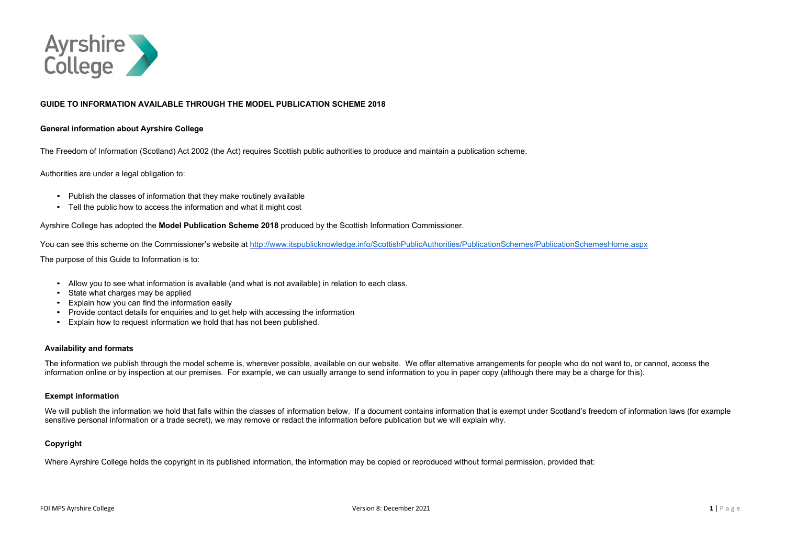

### **GUIDE TO INFORMATION AVAILABLE THROUGH THE MODEL PUBLICATION SCHEME 2018**

#### **General information about Ayrshire College**

The Freedom of Information (Scotland) Act 2002 (the Act) requires Scottish public authorities to produce and maintain a publication scheme.

Authorities are under a legal obligation to:

- Publish the classes of information that they make routinely available
- Tell the public how to access the information and what it might cost

Ayrshire College has adopted the **Model Publication Scheme 2018** produced by the Scottish Information Commissioner.

You can see this scheme on the Commissioner's website at <http://www.itspublicknowledge.info/ScottishPublicAuthorities/PublicationSchemes/PublicationSchemesHome.aspx>

The purpose of this Guide to Information is to:

We will publish the information we hold that falls within the classes of information below. If a document contains information that is exempt under Scotland's freedom of information laws (for example sensitive personal information or a trade secret), we may remove or redact the information before publication but we will explain why.

- Allow you to see what information is available (and what is not available) in relation to each class.
- State what charges may be applied
- Explain how you can find the information easily
- Provide contact details for enquiries and to get help with accessing the information
- Explain how to request information we hold that has not been published.

#### **Availability and formats**

The information we publish through the model scheme is, wherever possible, available on our website. We offer alternative arrangements for people who do not want to, or cannot, access the information online or by inspection at our premises. For example, we can usually arrange to send information to you in paper copy (although there may be a charge for this).

#### **Exempt information**

#### **Copyright**

Where Ayrshire College holds the copyright in its published information, the information may be copied or reproduced without formal permission, provided that: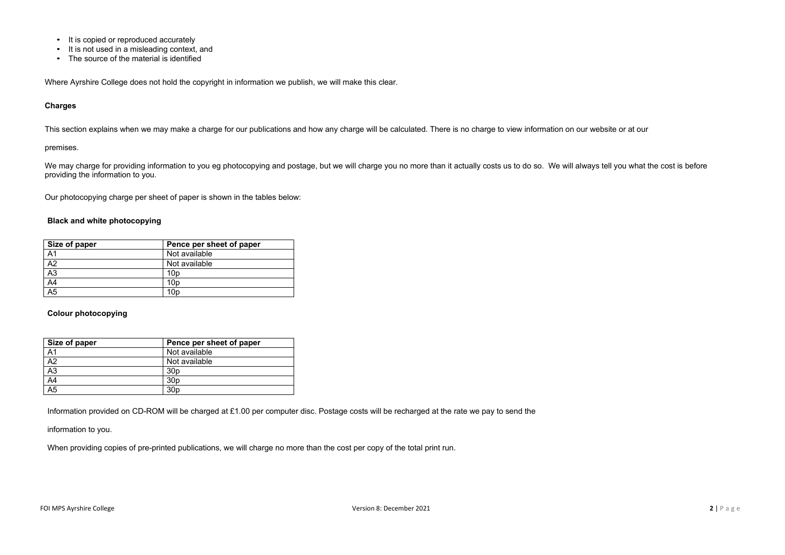- It is copied or reproduced accurately
- It is not used in a misleading context, and
- The source of the material is identified

Where Ayrshire College does not hold the copyright in information we publish, we will make this clear.

#### **Charges**

We may charge for providing information to you eg photocopying and postage, but we will charge you no more than it actually costs us to do so. We will always tell you what the cost is before providing the information to you.

This section explains when we may make a charge for our publications and how any charge will be calculated. There is no charge to view information on our website or at our

#### premises.

Our photocopying charge per sheet of paper is shown in the tables below:

#### **Black and white photocopying**

| Size of paper         | Pence per sheet of paper |
|-----------------------|--------------------------|
| A <sub>1</sub>        | Not available            |
| A <sub>2</sub>        | Not available            |
| $\frac{1}{\text{A3}}$ | 10p                      |
| $\overline{A4}$       | 10 <sub>D</sub>          |
| $\overline{A5}$       | 10 <sub>D</sub>          |

#### **Colour photocopying**

| Size of paper   | Pence per sheet of paper |
|-----------------|--------------------------|
| A <sub>1</sub>  | Not available            |
| $\overline{A2}$ | Not available            |
| $\overline{A3}$ | 30 <sub>p</sub>          |
| $\overline{A4}$ | 30 <sub>p</sub>          |
| $\overline{A5}$ | 30 <sub>p</sub>          |

Information provided on CD-ROM will be charged at £1.00 per computer disc. Postage costs will be recharged at the rate we pay to send the

information to you.

When providing copies of pre-printed publications, we will charge no more than the cost per copy of the total print run.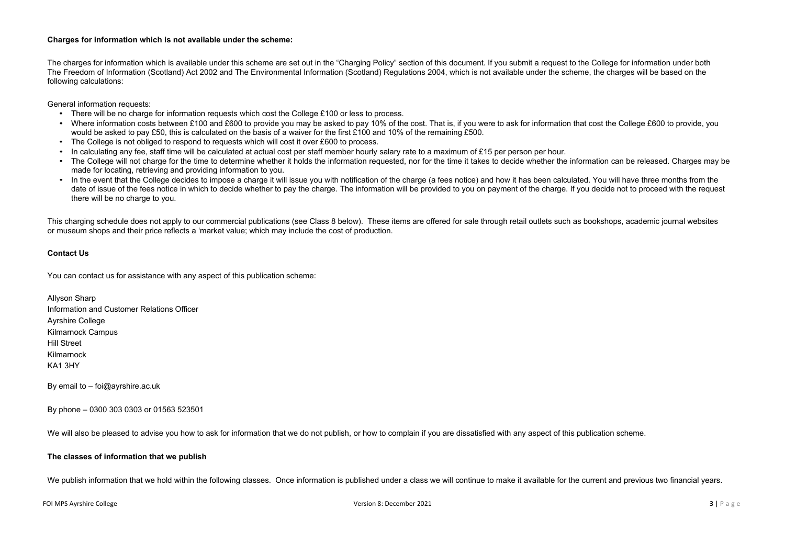#### **Charges for information which is not available under the scheme:**

The charges for information which is available under this scheme are set out in the "Charging Policy" section of this document. If you submit a request to the College for information under both The Freedom of Information (Scotland) Act 2002 and The Environmental Information (Scotland) Regulations 2004, which is not available under the scheme, the charges will be based on the following calculations:

General information requests:

- There will be no charge for information requests which cost the College £100 or less to process.
- Where information costs between £100 and £600 to provide you may be asked to pay 10% of the cost. That is, if you were to ask for information that cost the College £600 to provide, you would be asked to pay £50, this is calculated on the basis of a waiver for the first £100 and 10% of the remaining £500.
- The College is not obliged to respond to requests which will cost it over £600 to process.
- In calculating any fee, staff time will be calculated at actual cost per staff member hourly salary rate to a maximum of £15 per person per hour.
- The College will not charge for the time to determine whether it holds the information requested, nor for the time it takes to decide whether the information can be released. Charges may be made for locating, retrieving and providing information to you.
- In the event that the College decides to impose a charge it will issue you with notification of the charge (a fees notice) and how it has been calculated. You will have three months from the date of issue of the fees notice in which to decide whether to pay the charge. The information will be provided to you on payment of the charge. If you decide not to proceed with the request there will be no charge to you.

This charging schedule does not apply to our commercial publications (see Class 8 below). These items are offered for sale through retail outlets such as bookshops, academic journal websites or museum shops and their price reflects a 'market value; which may include the cost of production.

#### **Contact Us**

You can contact us for assistance with any aspect of this publication scheme:

Allyson Sharp Information and Customer Relations Officer Ayrshire College Kilmarnock Campus Hill Street Kilmarnock KA1 3HY

By email to – [foi@ayrshire.ac.uk](mailto:foi@ayrshire.ac.uk)

By phone – 0300 303 0303 or 01563 523501

We will also be pleased to advise you how to ask for information that we do not publish, or how to complain if you are dissatisfied with any aspect of this publication scheme.

#### **The classes of information that we publish**

We publish information that we hold within the following classes. Once information is published under a class we will continue to make it available for the current and previous two financial years.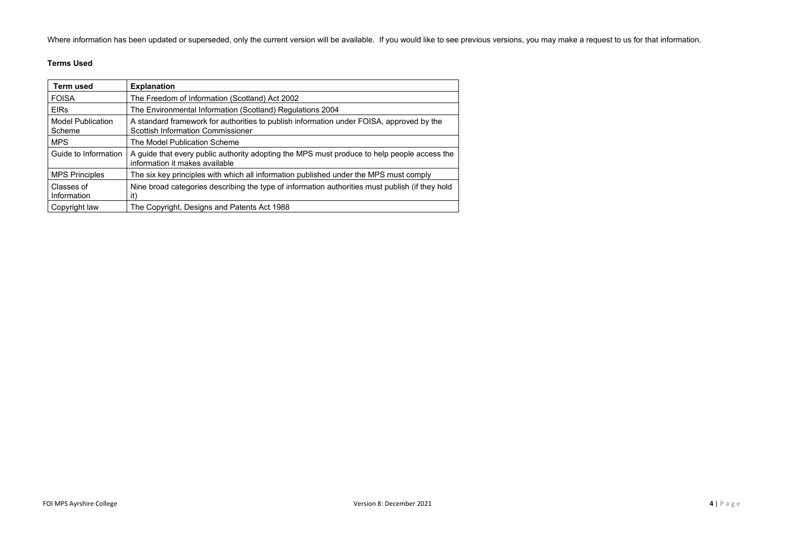Where information has been updated or superseded, only the current version will be available. If you would like to see previous versions, you may make a request to us for that information.

# **Terms Used**

| Term used                          | <b>Explanation</b>                                                                                                                   |
|------------------------------------|--------------------------------------------------------------------------------------------------------------------------------------|
| <b>FOISA</b>                       | The Freedom of Information (Scotland) Act 2002                                                                                       |
| <b>EIRs</b>                        | The Environmental Information (Scotland) Regulations 2004                                                                            |
| <b>Model Publication</b><br>Scheme | A standard framework for authorities to publish information under FOISA, approved by the<br><b>Scottish Information Commissioner</b> |
| <b>MPS</b>                         | The Model Publication Scheme                                                                                                         |
| Guide to Information               | A guide that every public authority adopting the MPS must produce to help people access the<br>information it makes available        |
| <b>MPS Principles</b>              | The six key principles with which all information published under the MPS must comply                                                |
| Classes of<br>Information          | Nine broad categories describing the type of information authorities must publish (if they hold<br>it)                               |
| Copyright law                      | The Copyright, Designs and Patents Act 1988                                                                                          |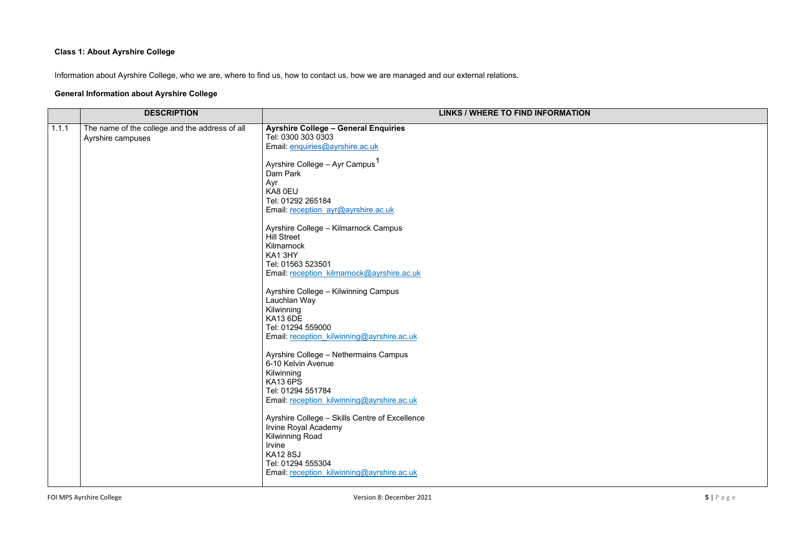# **Class 1: About Ayrshire College**

Information about Ayrshire College, who we are, where to find us, how to contact us, how we are managed and our external relations.

# **General Information about Ayrshire College**

|       | <b>DESCRIPTION</b>                                                  |                                                                                                                                                                                                                                                                                                                                                                                                                                                                                                                                                                                                                                                                                                                                                                                                                                                                                                                                                 | <b>LINKS / WHERE TO FIND INFORMATION</b> |
|-------|---------------------------------------------------------------------|-------------------------------------------------------------------------------------------------------------------------------------------------------------------------------------------------------------------------------------------------------------------------------------------------------------------------------------------------------------------------------------------------------------------------------------------------------------------------------------------------------------------------------------------------------------------------------------------------------------------------------------------------------------------------------------------------------------------------------------------------------------------------------------------------------------------------------------------------------------------------------------------------------------------------------------------------|------------------------------------------|
| 1.1.1 | The name of the college and the address of all<br>Ayrshire campuses | <b>Ayrshire College - General Enquiries</b><br>Tel: 0300 303 0303<br>Email: enquiries@ayrshire.ac.uk<br>Ayrshire College - Ayr Campus <sup>1</sup><br>Dam Park<br>Ayr<br>KA8 0EU<br>Tel: 01292 265184<br>Email: reception ayr@ayrshire.ac.uk<br>Ayrshire College - Kilmarnock Campus<br><b>Hill Street</b><br>Kilmarnock<br>KA13HY<br>Tel: 01563 523501<br>Email: reception kilmarnock@ayrshire.ac.uk<br>Ayrshire College - Kilwinning Campus<br>Lauchlan Way<br>Kilwinning<br><b>KA13 6DE</b><br>Tel: 01294 559000<br>Email: reception kilwinning@ayrshire.ac.uk<br>Ayrshire College - Nethermains Campus<br>6-10 Kelvin Avenue<br>Kilwinning<br><b>KA13 6PS</b><br>Tel: 01294 551784<br>Email: reception_kilwinning@ayrshire.ac.uk<br>Ayrshire College - Skills Centre of Excellence<br><b>Irvine Royal Academy</b><br><b>Kilwinning Road</b><br>Irvine<br><b>KA12 8SJ</b><br>Tel: 01294 555304<br>Email: reception kilwinning@ayrshire.ac.uk |                                          |
|       |                                                                     |                                                                                                                                                                                                                                                                                                                                                                                                                                                                                                                                                                                                                                                                                                                                                                                                                                                                                                                                                 |                                          |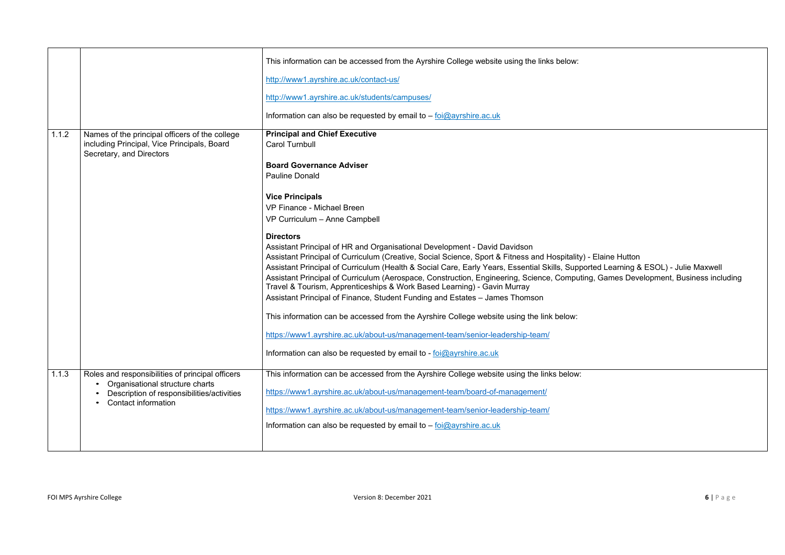|       |                                                                                                                                                                 | This information can be accessed from the Ayrshire College website using the links below:                                                                                                                                                                                                                                                                                                                                                                                                                                                                    |
|-------|-----------------------------------------------------------------------------------------------------------------------------------------------------------------|--------------------------------------------------------------------------------------------------------------------------------------------------------------------------------------------------------------------------------------------------------------------------------------------------------------------------------------------------------------------------------------------------------------------------------------------------------------------------------------------------------------------------------------------------------------|
|       |                                                                                                                                                                 | http://www1.ayrshire.ac.uk/contact-us/                                                                                                                                                                                                                                                                                                                                                                                                                                                                                                                       |
|       |                                                                                                                                                                 | http://www1.ayrshire.ac.uk/students/campuses/                                                                                                                                                                                                                                                                                                                                                                                                                                                                                                                |
|       |                                                                                                                                                                 | Information can also be requested by email to $-$ foi $@$ ayrshire.ac.uk                                                                                                                                                                                                                                                                                                                                                                                                                                                                                     |
| 1.1.2 | Names of the principal officers of the college<br>including Principal, Vice Principals, Board<br>Secretary, and Directors                                       | <b>Principal and Chief Executive</b><br><b>Carol Turnbull</b>                                                                                                                                                                                                                                                                                                                                                                                                                                                                                                |
|       |                                                                                                                                                                 | <b>Board Governance Adviser</b><br><b>Pauline Donald</b>                                                                                                                                                                                                                                                                                                                                                                                                                                                                                                     |
|       |                                                                                                                                                                 | <b>Vice Principals</b><br><b>VP Finance - Michael Breen</b><br>VP Curriculum - Anne Campbell                                                                                                                                                                                                                                                                                                                                                                                                                                                                 |
|       |                                                                                                                                                                 | <b>Directors</b><br>Assistant Principal of HR and Organisational Development - David Davidson<br>Assistant Principal of Curriculum (Creative, Social Science, Sport & Fitness and Hospitality) -<br>Assistant Principal of Curriculum (Health & Social Care, Early Years, Essential Skills, Support<br>Assistant Principal of Curriculum (Aerospace, Construction, Engineering, Science, Computing<br>Travel & Tourism, Apprenticeships & Work Based Learning) - Gavin Murray<br>Assistant Principal of Finance, Student Funding and Estates - James Thomson |
|       |                                                                                                                                                                 | This information can be accessed from the Ayrshire College website using the link below:<br>https://www1.ayrshire.ac.uk/about-us/management-team/senior-leadership-team/                                                                                                                                                                                                                                                                                                                                                                                     |
|       |                                                                                                                                                                 | Information can also be requested by email to - foi@ayrshire.ac.uk                                                                                                                                                                                                                                                                                                                                                                                                                                                                                           |
| 1.1.3 | Roles and responsibilities of principal officers<br>Organisational structure charts<br>Description of responsibilities/activities<br><b>Contact information</b> | This information can be accessed from the Ayrshire College website using the links below:<br>https://www1.ayrshire.ac.uk/about-us/management-team/board-of-management/<br>https://www1.ayrshire.ac.uk/about-us/management-team/senior-leadership-team/<br>Information can also be requested by email to $-$ foi $@$ ayrshire.ac.uk                                                                                                                                                                                                                           |
|       |                                                                                                                                                                 |                                                                                                                                                                                                                                                                                                                                                                                                                                                                                                                                                              |

Bial Principal Putton ted Learning & ESOL) - Julie Maxwell g, Games Development, Business including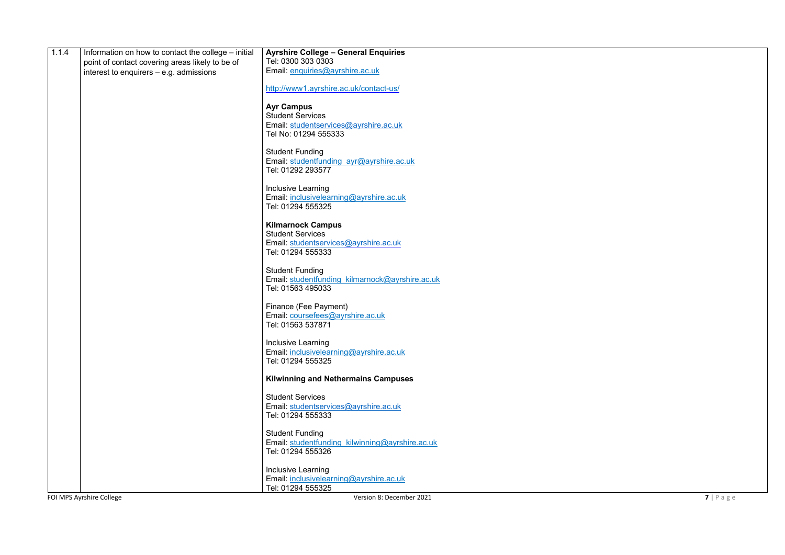| 1.1.4 | Information on how to contact the college - initial | <b>Ayrshire College - General Enquiries</b>                   |                    |
|-------|-----------------------------------------------------|---------------------------------------------------------------|--------------------|
|       | point of contact covering areas likely to be of     | Tel: 0300 303 0303                                            |                    |
|       | interest to enquirers $-$ e.g. admissions           | Email: enquiries@ayrshire.ac.uk                               |                    |
|       |                                                     | http://www1.ayrshire.ac.uk/contact-us/                        |                    |
|       |                                                     | <b>Ayr Campus</b>                                             |                    |
|       |                                                     | <b>Student Services</b>                                       |                    |
|       |                                                     | Email: studentservices@ayrshire.ac.uk<br>Tel No: 01294 555333 |                    |
|       |                                                     |                                                               |                    |
|       |                                                     | <b>Student Funding</b>                                        |                    |
|       |                                                     | Email: studentfunding ayr@ayrshire.ac.uk<br>Tel: 01292 293577 |                    |
|       |                                                     |                                                               |                    |
|       |                                                     | Inclusive Learning                                            |                    |
|       |                                                     | Email: inclusivelearning@ayrshire.ac.uk<br>Tel: 01294 555325  |                    |
|       |                                                     |                                                               |                    |
|       |                                                     | <b>Kilmarnock Campus</b><br><b>Student Services</b>           |                    |
|       |                                                     | Email: studentservices@ayrshire.ac.uk                         |                    |
|       |                                                     | Tel: 01294 555333                                             |                    |
|       |                                                     | <b>Student Funding</b>                                        |                    |
|       |                                                     | Email: studentfunding kilmarnock@ayrshire.ac.uk               |                    |
|       |                                                     | Tel: 01563 495033                                             |                    |
|       |                                                     | Finance (Fee Payment)                                         |                    |
|       |                                                     | Email: coursefees@ayrshire.ac.uk                              |                    |
|       |                                                     | Tel: 01563 537871                                             |                    |
|       |                                                     | Inclusive Learning                                            |                    |
|       |                                                     | Email: inclusivelearning@ayrshire.ac.uk                       |                    |
|       |                                                     | Tel: 01294 555325                                             |                    |
|       |                                                     | <b>Kilwinning and Nethermains Campuses</b>                    |                    |
|       |                                                     | <b>Student Services</b>                                       |                    |
|       |                                                     | Email: studentservices@ayrshire.ac.uk                         |                    |
|       |                                                     | Tel: 01294 555333                                             |                    |
|       |                                                     | <b>Student Funding</b>                                        |                    |
|       |                                                     | Email: studentfunding_kilwinning@ayrshire.ac.uk               |                    |
|       |                                                     | Tel: 01294 555326                                             |                    |
|       |                                                     | Inclusive Learning                                            |                    |
|       |                                                     | Email: inclusivelearning@ayrshire.ac.uk<br>Tel: 01294 555325  |                    |
|       | FOI MPS Ayrshire College                            | Version 8: December 2021                                      | $7   P \text{age}$ |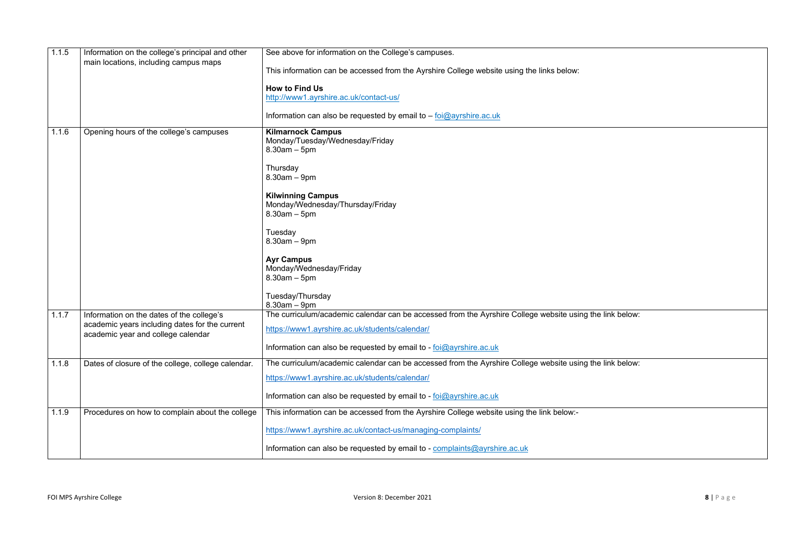| 1.1.5 | Information on the college's principal and other<br>main locations, including campus maps | See above for information on the College's campuses.                                                     |
|-------|-------------------------------------------------------------------------------------------|----------------------------------------------------------------------------------------------------------|
|       |                                                                                           | This information can be accessed from the Ayrshire College website using the links below:                |
|       |                                                                                           | <b>How to Find Us</b>                                                                                    |
|       |                                                                                           | http://www1.ayrshire.ac.uk/contact-us/                                                                   |
|       |                                                                                           | Information can also be requested by email to - foi@ayrshire.ac.uk                                       |
| 1.1.6 | Opening hours of the college's campuses                                                   | <b>Kilmarnock Campus</b>                                                                                 |
|       |                                                                                           | Monday/Tuesday/Wednesday/Friday<br>$8.30am - 5pm$                                                        |
|       |                                                                                           | Thursday                                                                                                 |
|       |                                                                                           | $8.30$ am $-9$ pm                                                                                        |
|       |                                                                                           | <b>Kilwinning Campus</b>                                                                                 |
|       |                                                                                           | Monday/Wednesday/Thursday/Friday<br>$8.30am - 5pm$                                                       |
|       |                                                                                           | Tuesday                                                                                                  |
|       |                                                                                           | $8.30am - 9pm$                                                                                           |
|       |                                                                                           | <b>Ayr Campus</b>                                                                                        |
|       |                                                                                           | Monday/Wednesday/Friday<br>$8.30$ am $-5$ pm                                                             |
|       |                                                                                           |                                                                                                          |
|       |                                                                                           | Tuesday/Thursday<br>$8.30am - 9pm$                                                                       |
| 1.1.7 | Information on the dates of the college's                                                 | The curriculum/academic calendar can be accessed from the Ayrshire College website using the link below: |
|       | academic years including dates for the current<br>academic year and college calendar      | https://www1.ayrshire.ac.uk/students/calendar/                                                           |
|       |                                                                                           | Information can also be requested by email to - foi@ayrshire.ac.uk                                       |
| 1.1.8 | Dates of closure of the college, college calendar.                                        | The curriculum/academic calendar can be accessed from the Ayrshire College website using the link below: |
|       |                                                                                           | https://www1.ayrshire.ac.uk/students/calendar/                                                           |
|       |                                                                                           | Information can also be requested by email to - foi@ayrshire.ac.uk                                       |
| 1.1.9 | Procedures on how to complain about the college                                           | This information can be accessed from the Ayrshire College website using the link below:-                |
|       |                                                                                           | https://www1.ayrshire.ac.uk/contact-us/managing-complaints/                                              |
|       |                                                                                           | Information can also be requested by email to - complaints@ayrshire.ac.uk                                |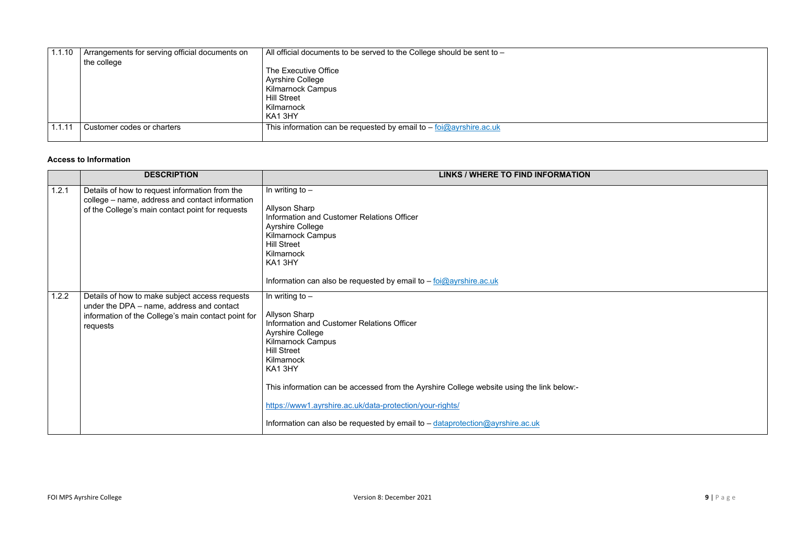| 1.1.10 | Arrangements for serving official documents on | All official documents to be served to the College should be sent to - |
|--------|------------------------------------------------|------------------------------------------------------------------------|
|        | the college                                    |                                                                        |
|        |                                                | The Executive Office                                                   |
|        |                                                | <b>Ayrshire College</b>                                                |
|        |                                                | <b>Kilmarnock Campus</b>                                               |
|        |                                                | <b>Hill Street</b>                                                     |
|        |                                                | Kilmarnock                                                             |
|        |                                                | KA13HY                                                                 |
| 1.1.11 | Customer codes or charters                     | This information can be requested by email to $-$ foi@ayrshire.ac.uk   |
|        |                                                |                                                                        |

# **Access to Information**

|       | <b>DESCRIPTION</b>                                                                                                                                             | <b>LINKS / WHERE TO FIND INFORMATION</b>                                                                                                                                                                                                                                                                                                                                                                                               |
|-------|----------------------------------------------------------------------------------------------------------------------------------------------------------------|----------------------------------------------------------------------------------------------------------------------------------------------------------------------------------------------------------------------------------------------------------------------------------------------------------------------------------------------------------------------------------------------------------------------------------------|
| 1.2.1 | Details of how to request information from the<br>college – name, address and contact information<br>of the College's main contact point for requests          | In writing to $-$<br><b>Allyson Sharp</b><br>Information and Customer Relations Officer<br><b>Ayrshire College</b><br><b>Kilmarnock Campus</b><br><b>Hill Street</b><br>Kilmarnock<br>KA13HY<br>Information can also be requested by email to $-$ foi $@$ ayrshire.ac.uk                                                                                                                                                               |
| 1.2.2 | Details of how to make subject access requests<br>under the DPA – name, address and contact<br>information of the College's main contact point for<br>requests | In writing to $-$<br><b>Allyson Sharp</b><br>Information and Customer Relations Officer<br><b>Ayrshire College</b><br><b>Kilmarnock Campus</b><br><b>Hill Street</b><br>Kilmarnock<br>KA13HY<br>This information can be accessed from the Ayrshire College website using the link below:-<br>https://www1.ayrshire.ac.uk/data-protection/your-rights/<br>Information can also be requested by email to - dataprotection@ayrshire.ac.uk |

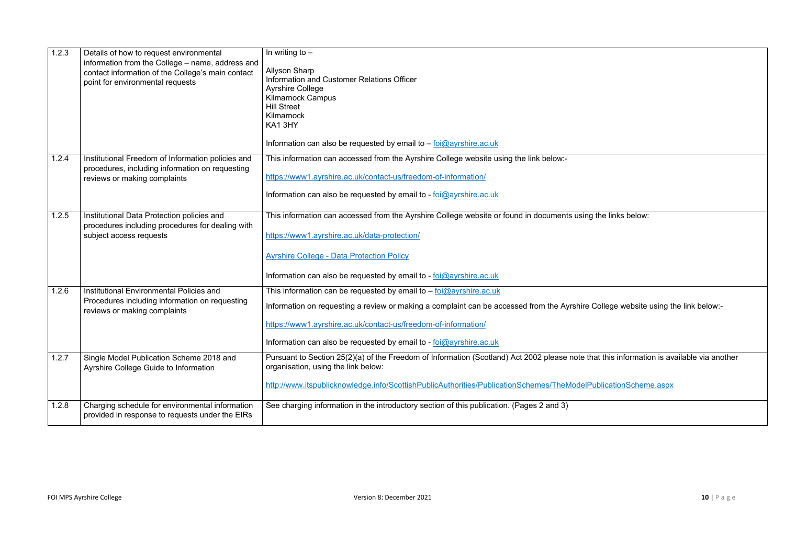| 1.2.3 | Details of how to request environmental<br>information from the College - name, address and<br>contact information of the College's main contact<br>point for environmental requests | In writing to $-$<br><b>Allyson Sharp</b><br><b>Information and Customer Relations Officer</b><br><b>Ayrshire College</b><br><b>Kilmarnock Campus</b><br><b>Hill Street</b><br>Kilmarnock<br>KA13HY<br>Information can also be requested by email to $-$ foi@ayrshire.ac.uk                                |
|-------|--------------------------------------------------------------------------------------------------------------------------------------------------------------------------------------|------------------------------------------------------------------------------------------------------------------------------------------------------------------------------------------------------------------------------------------------------------------------------------------------------------|
| 1.2.4 | Institutional Freedom of Information policies and<br>procedures, including information on requesting<br>reviews or making complaints                                                 | This information can accessed from the Ayrshire College website using the link below:-<br>https://www1.ayrshire.ac.uk/contact-us/freedom-of-information/<br>Information can also be requested by email to - foi@ayrshire.ac.uk                                                                             |
| 1.2.5 | Institutional Data Protection policies and<br>procedures including procedures for dealing with<br>subject access requests                                                            | This information can accessed from the Ayrshire College website or found in documents using<br>https://www1.ayrshire.ac.uk/data-protection/<br><b>Ayrshire College - Data Protection Policy</b><br>Information can also be requested by email to - foi@ayrshire.ac.uk                                      |
| 1.2.6 | Institutional Environmental Policies and<br>Procedures including information on requesting<br>reviews or making complaints                                                           | This information can be requested by email to $-$ foi@ayrshire.ac.uk<br>Information on requesting a review or making a complaint can be accessed from the Ayrshire<br>https://www1.ayrshire.ac.uk/contact-us/freedom-of-information/<br>Information can also be requested by email to - foi@ayrshire.ac.uk |
| 1.2.7 | Single Model Publication Scheme 2018 and<br>Ayrshire College Guide to Information                                                                                                    | Pursuant to Section 25(2)(a) of the Freedom of Information (Scotland) Act 2002 please note th<br>organisation, using the link below:<br>http://www.itspublicknowledge.info/ScottishPublicAuthorities/PublicationSchemes/TheModelP                                                                          |
| 1.2.8 | Charging schedule for environmental information<br>provided in response to requests under the EIRs                                                                                   | See charging information in the introductory section of this publication. (Pages 2 and 3)                                                                                                                                                                                                                  |

If the links below:

College website using the link below:-

hat this information is available via another

PublicationScheme.aspx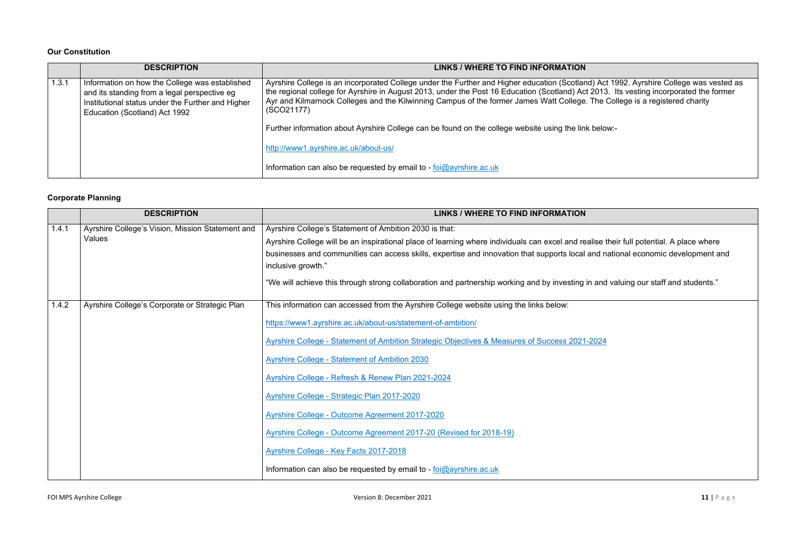#### **Our Constitution**

|       | <b>DESCRIPTION</b>                                                                                                                                                                   | LINKS / WHERE TO FIND INFORMATION                                                                                                                                                                                                                                                                                                                                                                                            |
|-------|--------------------------------------------------------------------------------------------------------------------------------------------------------------------------------------|------------------------------------------------------------------------------------------------------------------------------------------------------------------------------------------------------------------------------------------------------------------------------------------------------------------------------------------------------------------------------------------------------------------------------|
| 1.3.1 | Information on how the College was established<br>and its standing from a legal perspective eg<br>Institutional status under the Further and Higher<br>Education (Scotland) Act 1992 | Ayrshire College is an incorporated College under the Further and Higher education (Scotland) Act 1992. Ayrshire College was vested a<br>the regional college for Ayrshire in August 2013, under the Post 16 Education (Scotland) Act 2013. Its vesting incorporated the former<br>Ayr and Kilmarnock Colleges and the Kilwinning Campus of the former James Watt College. The College is a registered charity<br>(SCO21177) |
|       |                                                                                                                                                                                      | Further information about Ayrshire College can be found on the college website using the link below:-                                                                                                                                                                                                                                                                                                                        |
|       |                                                                                                                                                                                      | http://www1.ayrshire.ac.uk/about-us/                                                                                                                                                                                                                                                                                                                                                                                         |
|       |                                                                                                                                                                                      | Information can also be requested by email to - $foi@ayrshire.ac.uk$                                                                                                                                                                                                                                                                                                                                                         |

# **Corporate Planning**

|       | <b>DESCRIPTION</b>                                         | <b>LINKS / WHERE TO FIND INFORMATION</b>                                                                                                                                                                                                                                                                                                                                                                                                                                                                                                                                                                                                                   |
|-------|------------------------------------------------------------|------------------------------------------------------------------------------------------------------------------------------------------------------------------------------------------------------------------------------------------------------------------------------------------------------------------------------------------------------------------------------------------------------------------------------------------------------------------------------------------------------------------------------------------------------------------------------------------------------------------------------------------------------------|
| 1.4.1 | Ayrshire College's Vision, Mission Statement and<br>Values | Ayrshire College's Statement of Ambition 2030 is that:<br>Ayrshire College will be an inspirational place of learning where individuals can excel and realise<br>businesses and communities can access skills, expertise and innovation that supports local and n<br>inclusive growth."<br>"We will achieve this through strong collaboration and partnership working and by investing in and                                                                                                                                                                                                                                                              |
| 1.4.2 | Ayrshire College's Corporate or Strategic Plan             | This information can accessed from the Ayrshire College website using the links below:<br>https://www1.ayrshire.ac.uk/about-us/statement-of-ambition/<br>Ayrshire College - Statement of Ambition Strategic Objectives & Measures of Success 2021-2024<br><b>Ayrshire College - Statement of Ambition 2030</b><br>Ayrshire College - Refresh & Renew Plan 2021-2024<br>Ayrshire College - Strategic Plan 2017-2020<br>Ayrshire College - Outcome Agreement 2017-2020<br>Ayrshire College - Outcome Agreement 2017-20 (Revised for 2018-19)<br>Ayrshire College - Key Facts 2017-2018<br>Information can also be requested by email to - foi@ayrshire.ac.uk |

FOI MPS Ayrshire College **11** | P a g e

# ) Act 1992. Ayrshire College was vested as

alise their full potential. A place where individuals can exand national economic development and i

and valuing our staff and students."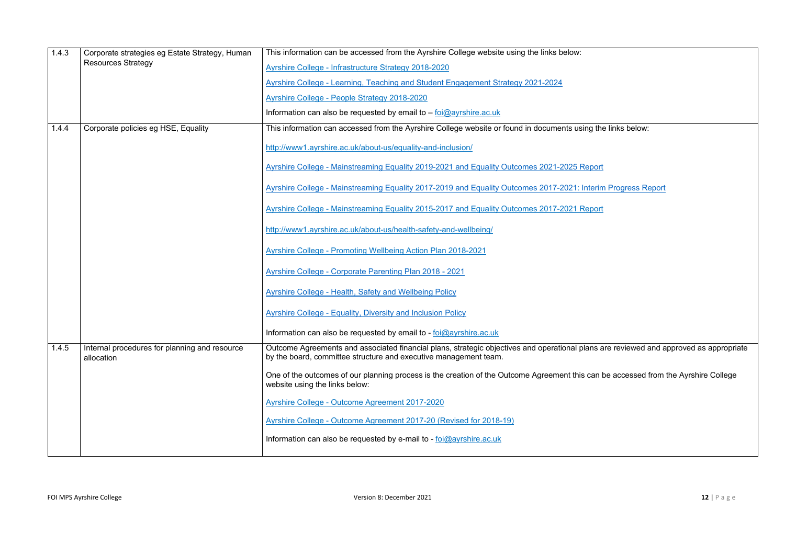| 1.4.3 | Corporate strategies eg Estate Strategy, Human              | This information can be accessed from the Ayrshire College website using the links below:                                                                           |
|-------|-------------------------------------------------------------|---------------------------------------------------------------------------------------------------------------------------------------------------------------------|
|       | <b>Resources Strategy</b>                                   | Ayrshire College - Infrastructure Strategy 2018-2020                                                                                                                |
|       |                                                             | Ayrshire College - Learning, Teaching and Student Engagement Strategy 2021-2024                                                                                     |
|       |                                                             | <b>Ayrshire College - People Strategy 2018-2020</b>                                                                                                                 |
|       |                                                             | Information can also be requested by email to $-$ foi@ayrshire.ac.uk                                                                                                |
| 1.4.4 | Corporate policies eg HSE, Equality                         | This information can accessed from the Ayrshire College website or found in documents using the                                                                     |
|       |                                                             | http://www1.ayrshire.ac.uk/about-us/equality-and-inclusion/                                                                                                         |
|       |                                                             | Ayrshire College - Mainstreaming Equality 2019-2021 and Equality Outcomes 2021-2025 Report                                                                          |
|       |                                                             | Ayrshire College - Mainstreaming Equality 2017-2019 and Equality Outcomes 2017-2021: Interin                                                                        |
|       |                                                             | Ayrshire College - Mainstreaming Equality 2015-2017 and Equality Outcomes 2017-2021 Report                                                                          |
|       |                                                             | http://www1.ayrshire.ac.uk/about-us/health-safety-and-wellbeing/                                                                                                    |
|       |                                                             | <b>Ayrshire College - Promoting Wellbeing Action Plan 2018-2021</b>                                                                                                 |
|       |                                                             | <b>Ayrshire College - Corporate Parenting Plan 2018 - 2021</b>                                                                                                      |
|       |                                                             | <b>Ayrshire College - Health, Safety and Wellbeing Policy</b>                                                                                                       |
|       |                                                             | <b>Ayrshire College - Equality, Diversity and Inclusion Policy</b>                                                                                                  |
|       |                                                             | Information can also be requested by email to - foi@ayrshire.ac.uk                                                                                                  |
| 1.4.5 | Internal procedures for planning and resource<br>allocation | Outcome Agreements and associated financial plans, strategic objectives and operational plans a<br>by the board, committee structure and executive management team. |
|       |                                                             | One of the outcomes of our planning process is the creation of the Outcome Agreement this can I<br>website using the links below:                                   |
|       |                                                             | <b>Ayrshire College - Outcome Agreement 2017-2020</b>                                                                                                               |
|       |                                                             | Ayrshire College - Outcome Agreement 2017-20 (Revised for 2018-19)                                                                                                  |
|       |                                                             | Information can also be requested by e-mail to - $\frac{1}{10}$ over shire ac.uk                                                                                    |
|       |                                                             |                                                                                                                                                                     |

g the links below:

terim Progress Report

ans are reviewed and approved as appropriate

can be accessed from the Ayrshire College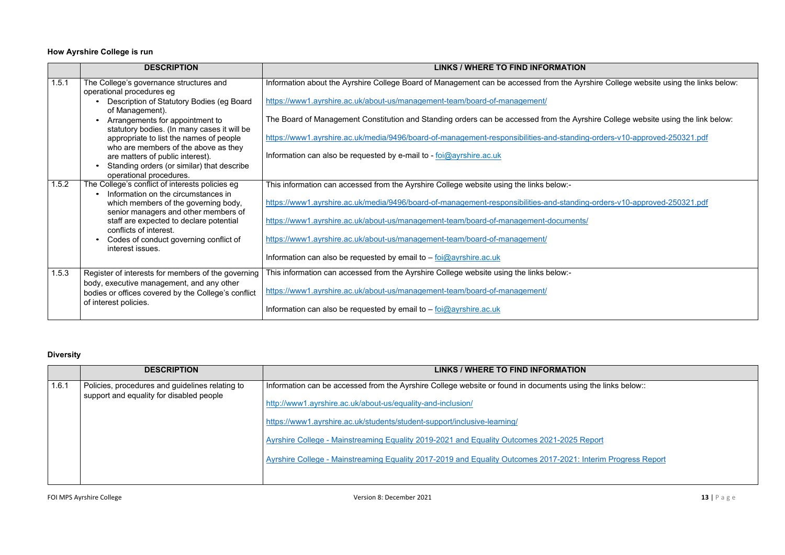|       | <b>DESCRIPTION</b>                                                                              | LINKS / WHERE TO FIND INFORMATION                                                                |
|-------|-------------------------------------------------------------------------------------------------|--------------------------------------------------------------------------------------------------|
| 1.5.1 | The College's governance structures and<br>operational procedures eg                            | Information about the Ayrshire College Board of Management can be accessed from the Ayrsh        |
|       | Description of Statutory Bodies (eg Board<br>of Management).                                    | https://www1.ayrshire.ac.uk/about-us/management-team/board-of-management/                        |
|       | Arrangements for appointment to<br>statutory bodies. (In many cases it will be                  | The Board of Management Constitution and Standing orders can be accessed from the Ayrsh          |
|       | appropriate to list the names of people<br>who are members of the above as they                 | https://www1.ayrshire.ac.uk/media/9496/board-of-management-responsibilities-and-standing-        |
|       | are matters of public interest).<br>Standing orders (or similar) that describe                  | Information can also be requested by e-mail to - $\frac{1}{10}$ foi $\frac{1}{2}$ ayrshire.ac.uk |
|       | operational procedures.                                                                         |                                                                                                  |
| 1.5.2 | The College's conflict of interests policies eg<br>Information on the circumstances in          | This information can accessed from the Ayrshire College website using the links below:-          |
|       | which members of the governing body,<br>senior managers and other members of                    | https://www1.ayrshire.ac.uk/media/9496/board-of-management-responsibilities-and-standing-        |
|       | staff are expected to declare potential<br>conflicts of interest.                               | https://www1.ayrshire.ac.uk/about-us/management-team/board-of-management-documents/              |
|       | Codes of conduct governing conflict of<br>interest issues.                                      | https://www1.ayrshire.ac.uk/about-us/management-team/board-of-management/                        |
|       |                                                                                                 | Information can also be requested by email to - foi@ayrshire.ac.uk                               |
| 1.5.3 | Register of interests for members of the governing<br>body, executive management, and any other | This information can accessed from the Ayrshire College website using the links below:-          |
|       | bodies or offices covered by the College's conflict                                             | https://www1.ayrshire.ac.uk/about-us/management-team/board-of-management/                        |
|       | of interest policies.                                                                           | Information can also be requested by email to $-$ foi@ayrshire.ac.uk                             |

# **How Ayrshire College is run**

# **Diversity**

|       | <b>DESCRIPTION</b>                                                                          | <b>LINKS / WHERE TO FIND INFORMATION</b>                                                      |
|-------|---------------------------------------------------------------------------------------------|-----------------------------------------------------------------------------------------------|
| 1.6.1 | Policies, procedures and guidelines relating to<br>support and equality for disabled people | Information can be accessed from the Ayrshire College website or found in documents using the |
|       |                                                                                             | http://www1.ayrshire.ac.uk/about-us/equality-and-inclusion/                                   |
|       |                                                                                             | https://www1.ayrshire.ac.uk/students/student-support/inclusive-learning/                      |
|       |                                                                                             | Ayrshire College - Mainstreaming Equality 2019-2021 and Equality Outcomes 2021-2025 Report    |
|       |                                                                                             | Ayrshire College - Mainstreaming Equality 2017-2019 and Equality Outcomes 2017-2021: Interin  |
|       |                                                                                             |                                                                                               |

hire College website using the links below:

hire College website using the link below:

-orders-v10-approved-250321.pdf

-orders-v10-approved-250321.pdf

he links below::

erim Progress Report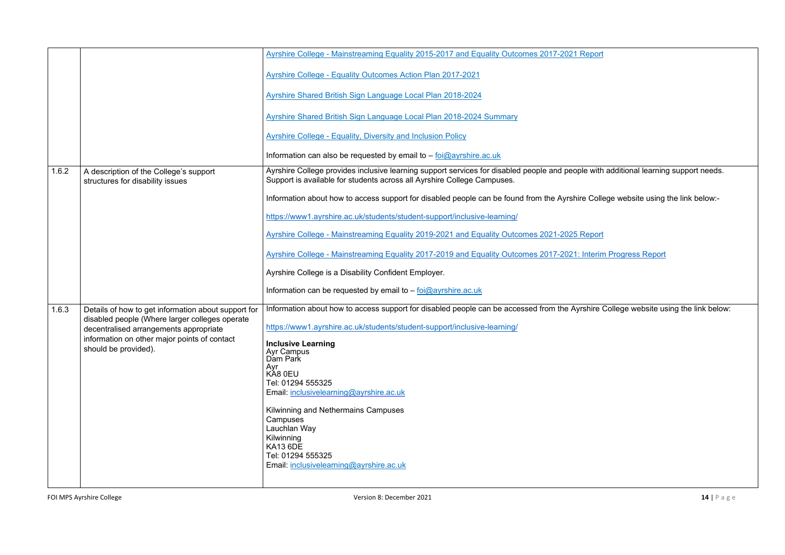|       |                                                                                                       | Ayrshire College - Mainstreaming Equality 2015-2017 and Equality Outcomes 2017-2021 Report                                                                                   |
|-------|-------------------------------------------------------------------------------------------------------|------------------------------------------------------------------------------------------------------------------------------------------------------------------------------|
|       |                                                                                                       | Ayrshire College - Equality Outcomes Action Plan 2017-2021                                                                                                                   |
|       |                                                                                                       | Ayrshire Shared British Sign Language Local Plan 2018-2024                                                                                                                   |
|       |                                                                                                       | Ayrshire Shared British Sign Language Local Plan 2018-2024 Summary                                                                                                           |
|       |                                                                                                       | <b>Ayrshire College - Equality, Diversity and Inclusion Policy</b>                                                                                                           |
|       |                                                                                                       | Information can also be requested by email to $-$ foi $@$ ayrshire.ac.uk                                                                                                     |
| 1.6.2 | A description of the College's support<br>structures for disability issues                            | Ayrshire College provides inclusive learning support services for disabled people and people with<br>Support is available for students across all Ayrshire College Campuses. |
|       |                                                                                                       | Information about how to access support for disabled people can be found from the Ayrshire Colle                                                                             |
|       |                                                                                                       | https://www1.ayrshire.ac.uk/students/student-support/inclusive-learning/                                                                                                     |
|       |                                                                                                       | Ayrshire College - Mainstreaming Equality 2019-2021 and Equality Outcomes 2021-2025 Report                                                                                   |
|       |                                                                                                       | Ayrshire College - Mainstreaming Equality 2017-2019 and Equality Outcomes 2017-2021: Interin                                                                                 |
|       |                                                                                                       | Ayrshire College is a Disability Confident Employer.                                                                                                                         |
|       |                                                                                                       | Information can be requested by email to $-$ foi $@$ ayrshire.ac.uk                                                                                                          |
| 1.6.3 | Details of how to get information about support for<br>disabled people (Where larger colleges operate | Information about how to access support for disabled people can be accessed from the Ayrshire                                                                                |
|       | decentralised arrangements appropriate                                                                | https://www1.ayrshire.ac.uk/students/student-support/inclusive-learning/                                                                                                     |
|       | information on other major points of contact<br>should be provided).                                  | <b>Inclusive Learning</b><br><b>Ayr Campus</b><br>Dam Park                                                                                                                   |
|       |                                                                                                       | Ayr<br>KÁ8 0EU                                                                                                                                                               |
|       |                                                                                                       | Tel: 01294 555325<br>Email: inclusivelearning@ayrshire.ac.uk                                                                                                                 |
|       |                                                                                                       | Kilwinning and Nethermains Campuses<br>Campuses                                                                                                                              |
|       |                                                                                                       | Lauchlan Way<br>Kilwinning                                                                                                                                                   |
|       |                                                                                                       | <b>KA13 6DE</b><br>Tel: 01294 555325                                                                                                                                         |
|       |                                                                                                       | Email: inclusivelearning@ayrshire.ac.uk                                                                                                                                      |
|       |                                                                                                       |                                                                                                                                                                              |

with additional learning support needs.

College website using the link below:-

terim Progress Report

inire College website using the link below: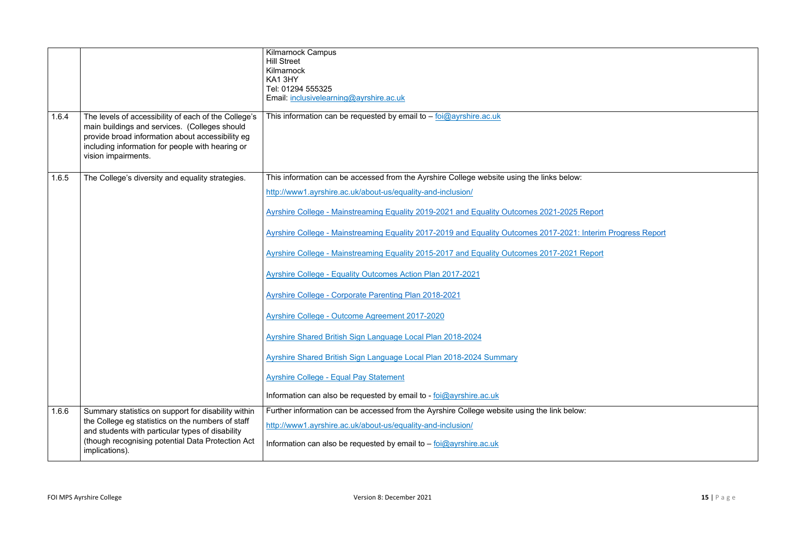|       |                                                                                                                                                                                                                                      | <b>Kilmarnock Campus</b><br><b>Hill Street</b><br>Kilmarnock<br>KA13HY<br>Tel: 01294 555325<br>Email: inclusivelearning@ayrshire.ac.uk |
|-------|--------------------------------------------------------------------------------------------------------------------------------------------------------------------------------------------------------------------------------------|----------------------------------------------------------------------------------------------------------------------------------------|
| 1.6.4 | The levels of accessibility of each of the College's<br>main buildings and services. (Colleges should<br>provide broad information about accessibility eg<br>including information for people with hearing or<br>vision impairments. | This information can be requested by email to $-$ foi $@$ ayrshire.ac.uk                                                               |
| 1.6.5 | The College's diversity and equality strategies.                                                                                                                                                                                     | This information can be accessed from the Ayrshire College website using the links below:                                              |
|       |                                                                                                                                                                                                                                      | http://www1.ayrshire.ac.uk/about-us/equality-and-inclusion/                                                                            |
|       |                                                                                                                                                                                                                                      | Ayrshire College - Mainstreaming Equality 2019-2021 and Equality Outcomes 2021-2025 Report                                             |
|       |                                                                                                                                                                                                                                      | Ayrshire College - Mainstreaming Equality 2017-2019 and Equality Outcomes 2017-2021: Interin                                           |
|       |                                                                                                                                                                                                                                      | Ayrshire College - Mainstreaming Equality 2015-2017 and Equality Outcomes 2017-2021 Report                                             |
|       |                                                                                                                                                                                                                                      | <b>Ayrshire College - Equality Outcomes Action Plan 2017-2021</b>                                                                      |
|       |                                                                                                                                                                                                                                      | <b>Ayrshire College - Corporate Parenting Plan 2018-2021</b>                                                                           |
|       |                                                                                                                                                                                                                                      | Ayrshire College - Outcome Agreement 2017-2020                                                                                         |
|       |                                                                                                                                                                                                                                      | Ayrshire Shared British Sign Language Local Plan 2018-2024                                                                             |
|       |                                                                                                                                                                                                                                      | Ayrshire Shared British Sign Language Local Plan 2018-2024 Summary                                                                     |
|       |                                                                                                                                                                                                                                      | <b>Ayrshire College - Equal Pay Statement</b>                                                                                          |
|       |                                                                                                                                                                                                                                      | Information can also be requested by email to - foi@ayrshire.ac.uk                                                                     |
| 1.6.6 | Summary statistics on support for disability within                                                                                                                                                                                  | Further information can be accessed from the Ayrshire College website using the link below:                                            |
|       | the College eg statistics on the numbers of staff<br>and students with particular types of disability<br>(though recognising potential Data Protection Act<br>implications).                                                         | http://www1.ayrshire.ac.uk/about-us/equality-and-inclusion/                                                                            |
|       |                                                                                                                                                                                                                                      | Information can also be requested by email to $-$ foi@ayrshire.ac.uk                                                                   |

terim Progress Report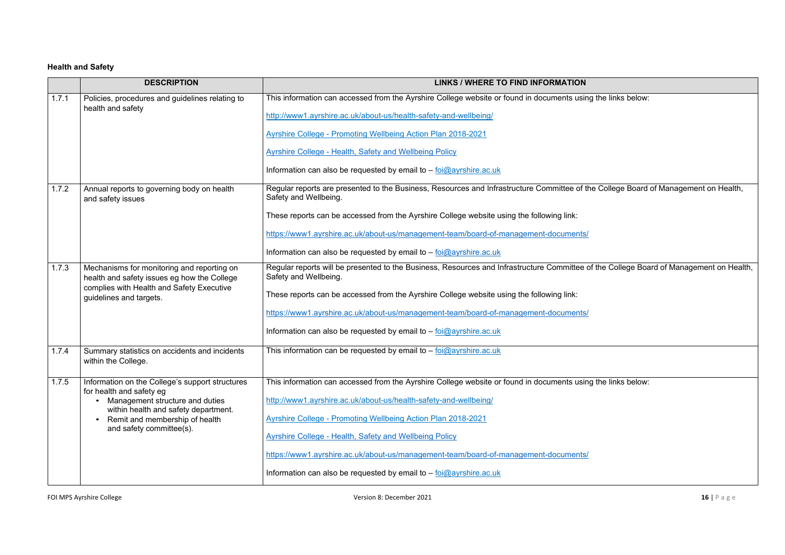# **Health and Safety**

|       | <b>DESCRIPTION</b>                                                                                                                    | LINKS / WHERE TO FIND INFORMATION                                                                                     |
|-------|---------------------------------------------------------------------------------------------------------------------------------------|-----------------------------------------------------------------------------------------------------------------------|
| 1.7.1 | Policies, procedures and guidelines relating to<br>health and safety                                                                  | This information can accessed from the Ayrshire College website or found in documents using                           |
|       |                                                                                                                                       | http://www1.ayrshire.ac.uk/about-us/health-safety-and-wellbeing/                                                      |
|       |                                                                                                                                       | <b>Ayrshire College - Promoting Wellbeing Action Plan 2018-2021</b>                                                   |
|       |                                                                                                                                       | <b>Ayrshire College - Health, Safety and Wellbeing Policy</b>                                                         |
|       |                                                                                                                                       | Information can also be requested by email to - foi@ayrshire.ac.uk                                                    |
| 1.7.2 | Annual reports to governing body on health<br>and safety issues                                                                       | Regular reports are presented to the Business, Resources and Infrastructure Committee of the<br>Safety and Wellbeing. |
|       |                                                                                                                                       | These reports can be accessed from the Ayrshire College website using the following link:                             |
|       |                                                                                                                                       | https://www1.ayrshire.ac.uk/about-us/management-team/board-of-management-documents/                                   |
|       |                                                                                                                                       | Information can also be requested by email to $-$ foi $@$ ayrshire.ac.uk                                              |
| 1.7.3 | Mechanisms for monitoring and reporting on<br>health and safety issues eg how the College                                             | Regular reports will be presented to the Business, Resources and Infrastructure Committee of<br>Safety and Wellbeing. |
|       | complies with Health and Safety Executive<br>guidelines and targets.                                                                  | These reports can be accessed from the Ayrshire College website using the following link:                             |
|       |                                                                                                                                       | https://www1.ayrshire.ac.uk/about-us/management-team/board-of-management-documents/                                   |
|       |                                                                                                                                       | Information can also be requested by email to - foi@ayrshire.ac.uk                                                    |
| 1.7.4 | Summary statistics on accidents and incidents<br>within the College.                                                                  | This information can be requested by email to $-$ foi@ayrshire.ac.uk                                                  |
| 1.7.5 | Information on the College's support structures                                                                                       | This information can accessed from the Ayrshire College website or found in documents using                           |
|       | for health and safety eg<br>Management structure and duties<br>within health and safety department.<br>Remit and membership of health | http://www1.ayrshire.ac.uk/about-us/health-safety-and-wellbeing/                                                      |
|       |                                                                                                                                       | <b>Ayrshire College - Promoting Wellbeing Action Plan 2018-2021</b>                                                   |
|       | and safety committee(s).                                                                                                              | <b>Ayrshire College - Health, Safety and Wellbeing Policy</b>                                                         |
|       |                                                                                                                                       | https://www1.ayrshire.ac.uk/about-us/management-team/board-of-management-documents/                                   |
|       |                                                                                                                                       | Information can also be requested by email to $-$ foi $@$ ayrshire.ac.uk                                              |

If the links below:

ne College Board of Management on Health,

f the College Board of Management on Health,

The links below: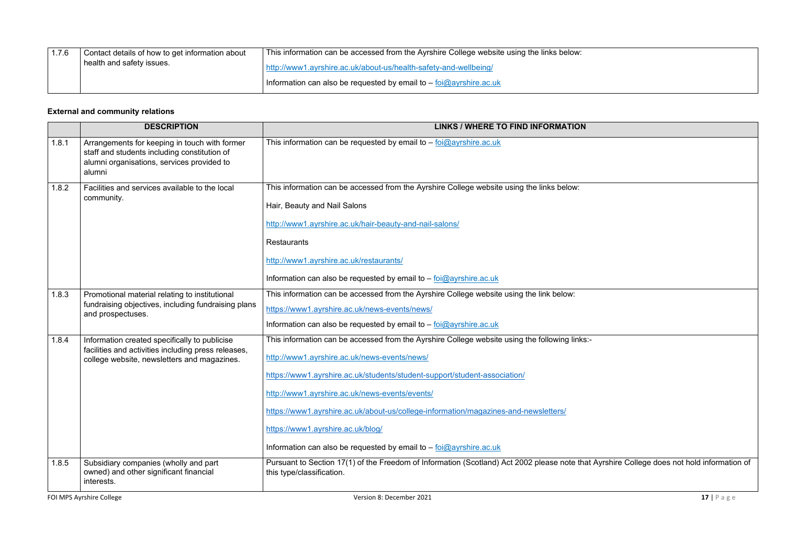| 1.7.6 | Contact details of how to get information about | This information can be accessed from the Ayrshire College website using the links below: |
|-------|-------------------------------------------------|-------------------------------------------------------------------------------------------|
|       | I health and safety issues.                     | http://www1.ayrshire.ac.uk/about-us/health-safety-and-wellbeing/                          |
|       |                                                 | Information can also be requested by email to $-$ foi@ayrshire.ac.uk                      |

# **External and community relations**

|       | <b>DESCRIPTION</b>                                                                                                                                    | <b>LINKS / WHERE TO FIND INFORMATION</b>                                                                                                                                                                                                                                                                                                                                                                                                                                        |
|-------|-------------------------------------------------------------------------------------------------------------------------------------------------------|---------------------------------------------------------------------------------------------------------------------------------------------------------------------------------------------------------------------------------------------------------------------------------------------------------------------------------------------------------------------------------------------------------------------------------------------------------------------------------|
| 1.8.1 | Arrangements for keeping in touch with former<br>staff and students including constitution of<br>alumni organisations, services provided to<br>alumni | This information can be requested by email to $-$ foi@ayrshire.ac.uk                                                                                                                                                                                                                                                                                                                                                                                                            |
| 1.8.2 | Facilities and services available to the local<br>community.                                                                                          | This information can be accessed from the Ayrshire College website using the links below:<br>Hair, Beauty and Nail Salons<br>http://www1.ayrshire.ac.uk/hair-beauty-and-nail-salons/<br><b>Restaurants</b><br>http://www1.ayrshire.ac.uk/restaurants/<br>Information can also be requested by email to $-$ foi@ayrshire.ac.uk                                                                                                                                                   |
| 1.8.3 | Promotional material relating to institutional<br>fundraising objectives, including fundraising plans<br>and prospectuses.                            | This information can be accessed from the Ayrshire College website using the link below:<br>https://www1.ayrshire.ac.uk/news-events/news/<br>Information can also be requested by email to $-$ foi@ayrshire.ac.uk                                                                                                                                                                                                                                                               |
| 1.8.4 | Information created specifically to publicise<br>facilities and activities including press releases,<br>college website, newsletters and magazines.   | This information can be accessed from the Ayrshire College website using the following links:-<br>http://www1.ayrshire.ac.uk/news-events/news/<br>https://www1.ayrshire.ac.uk/students/student-support/student-association/<br>http://www1.ayrshire.ac.uk/news-events/events/<br>https://www1.ayrshire.ac.uk/about-us/college-information/magazines-and-newsletters/<br>https://www1.ayrshire.ac.uk/blog/<br>Information can also be requested by email to - foi@ayrshire.ac.uk |
| 1.8.5 | Subsidiary companies (wholly and part<br>owned) and other significant financial<br>interests.                                                         | Pursuant to Section 17(1) of the Freedom of Information (Scotland) Act 2002 please note that<br>this type/classification.                                                                                                                                                                                                                                                                                                                                                       |

**FOI MPS Ayrshire College 17** | P a g e

t Ayrshire College does not hold information of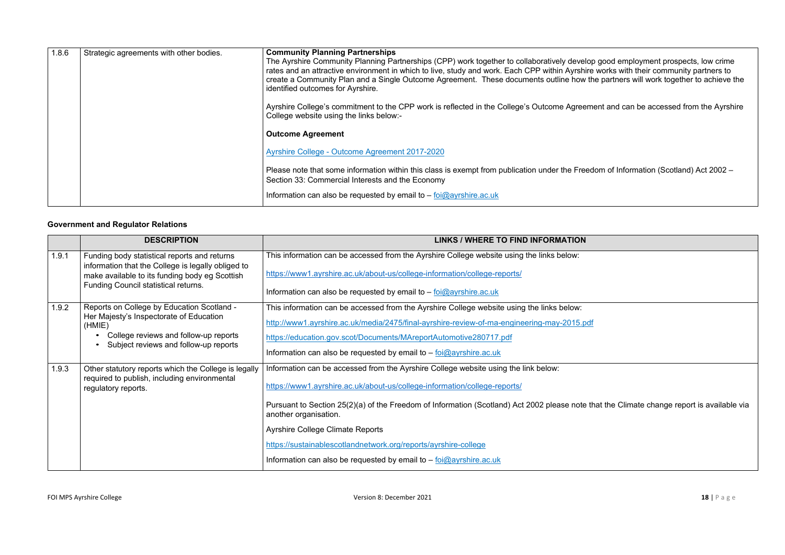| 1.8.6 | Strategic agreements with other bodies. | <b>Community Planning Partnerships</b><br>The Ayrshire Community Planning Partnerships (CPP) work together to collaboratively develop good employment prospects, low crime<br>rates and an attractive environment in which to live, study and work. Each CPP within Ayrshire works with their community partners to<br>create a Community Plan and a Single Outcome Agreement. These documents outline how the partners will work together to achieve t<br>identified outcomes for Ayrshire. |
|-------|-----------------------------------------|----------------------------------------------------------------------------------------------------------------------------------------------------------------------------------------------------------------------------------------------------------------------------------------------------------------------------------------------------------------------------------------------------------------------------------------------------------------------------------------------|
|       |                                         | Ayrshire College's commitment to the CPP work is reflected in the College's Outcome Agreement and can be accessed from the Ayrshi<br>College website using the links below:-                                                                                                                                                                                                                                                                                                                 |
|       |                                         | <b>Outcome Agreement</b>                                                                                                                                                                                                                                                                                                                                                                                                                                                                     |
|       |                                         | Ayrshire College - Outcome Agreement 2017-2020                                                                                                                                                                                                                                                                                                                                                                                                                                               |
|       |                                         | Please note that some information within this class is exempt from publication under the Freedom of Information (Scotland) Act 2002 -<br>Section 33: Commercial Interests and the Economy                                                                                                                                                                                                                                                                                                    |
|       |                                         | Information can also be requested by email to $-$ foi $@$ ayrshire.ac.uk                                                                                                                                                                                                                                                                                                                                                                                                                     |
|       |                                         |                                                                                                                                                                                                                                                                                                                                                                                                                                                                                              |

#### **Government and Regulator Relations**

|       | <b>DESCRIPTION</b>                                                                                                                                                                           | <b>LINKS / WHERE TO FIND INFORMATION</b>                                                                                                                                                                                                                                                                                                                                                                                                                                             |
|-------|----------------------------------------------------------------------------------------------------------------------------------------------------------------------------------------------|--------------------------------------------------------------------------------------------------------------------------------------------------------------------------------------------------------------------------------------------------------------------------------------------------------------------------------------------------------------------------------------------------------------------------------------------------------------------------------------|
| 1.9.1 | Funding body statistical reports and returns<br>information that the College is legally obliged to<br>make available to its funding body eg Scottish<br>Funding Council statistical returns. | This information can be accessed from the Ayrshire College website using the links below:<br>https://www1.ayrshire.ac.uk/about-us/college-information/college-reports/<br>Information can also be requested by email to $-$ foi $@$ ayrshire.ac.uk                                                                                                                                                                                                                                   |
| 1.9.2 | Reports on College by Education Scotland -<br>Her Majesty's Inspectorate of Education<br>(HMIE)<br>College reviews and follow-up reports<br>Subject reviews and follow-up reports            | This information can be accessed from the Ayrshire College website using the links below:<br>http://www1.ayrshire.ac.uk/media/2475/final-ayrshire-review-of-ma-engineering-may-2015.pdf<br>https://education.gov.scot/Documents/MAreportAutomotive280717.pdf<br>Information can also be requested by email to $-$ foi $@$ ayrshire.ac.uk                                                                                                                                             |
| 1.9.3 | Other statutory reports which the College is legally<br>required to publish, including environmental<br>regulatory reports.                                                                  | Information can be accessed from the Ayrshire College website using the link below:<br>https://www1.ayrshire.ac.uk/about-us/college-information/college-reports/<br>Pursuant to Section 25(2)(a) of the Freedom of Information (Scotland) Act 2002 please note th<br>another organisation.<br><b>Ayrshire College Climate Reports</b><br>https://sustainablescotlandnetwork.org/reports/ayrshire-college<br>Information can also be requested by email to $-$ foi $@$ ayrshire.ac.uk |

ne partners will work together to achieve the

 $\epsilon$  and can be accessed from the Ayrshire

hat the Climate change report is available via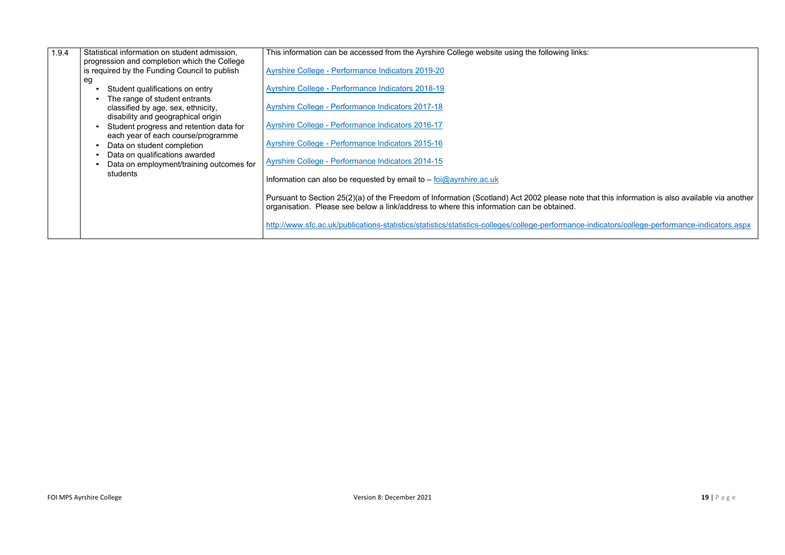| 1.9.4 | Statistical information on student admission,<br>progression and completion which the College<br>is required by the Funding Council to publish<br>eg<br>Student qualifications on entry<br>The range of student entrants<br>classified by age, sex, ethnicity,<br>disability and geographical origin<br>Student progress and retention data for<br>each year of each course/programme<br>Data on student completion<br>Data on qualifications awarded<br>Data on employment/training outcomes for<br>students | This information can be accessed from the Ayrshire College website using the following links:<br>Ayrshire College - Performance Indicators 2019-20<br><b>Ayrshire College - Performance Indicators 2018-19</b><br><b>Ayrshire College - Performance Indicators 2017-18</b><br>Ayrshire College - Performance Indicators 2016-17<br>Ayrshire College - Performance Indicators 2015-16<br>Ayrshire College - Performance Indicators 2014-15<br>Information can also be requested by email to $-$ foi $@$ ayrshire.ac.uk |
|-------|---------------------------------------------------------------------------------------------------------------------------------------------------------------------------------------------------------------------------------------------------------------------------------------------------------------------------------------------------------------------------------------------------------------------------------------------------------------------------------------------------------------|-----------------------------------------------------------------------------------------------------------------------------------------------------------------------------------------------------------------------------------------------------------------------------------------------------------------------------------------------------------------------------------------------------------------------------------------------------------------------------------------------------------------------|
|       |                                                                                                                                                                                                                                                                                                                                                                                                                                                                                                               | Pursuant to Section 25(2)(a) of the Freedom of Information (Scotland) Act 2002 please note that<br>organisation. Please see below a link/address to where this information can be obtained.<br>http://www.sfc.ac.uk/publications-statistics/statistics/statistics-colleges/college-performance-in                                                                                                                                                                                                                     |

at this information is also available via another

ndicators/college-performance-indicators.aspx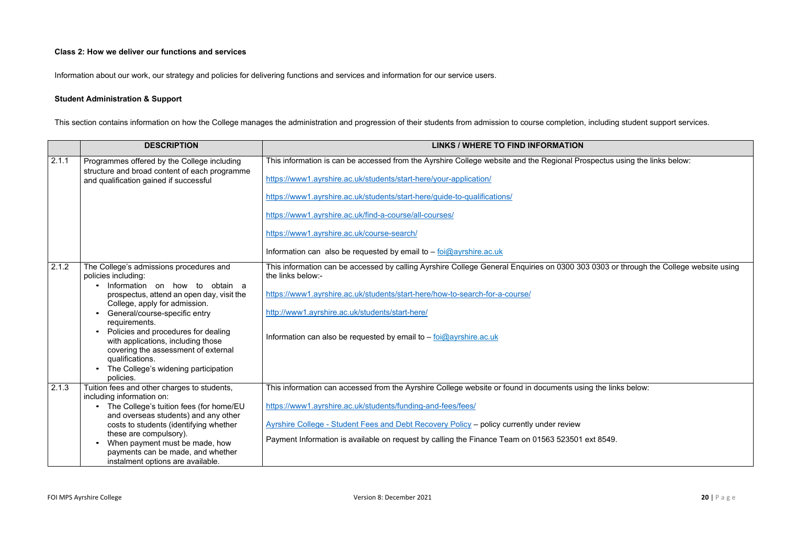#### **Class 2: How we deliver our functions and services**

Information about our work, our strategy and policies for delivering functions and services and information for our service users.

# **Student Administration & Support**

This section contains information on how the College manages the administration and progression of their students from admission to course completion, including student support services.

|       | <b>DESCRIPTION</b>                                                                                                                                   | <b>LINKS / WHERE TO FIND INFORMATION</b>                                                                               |
|-------|------------------------------------------------------------------------------------------------------------------------------------------------------|------------------------------------------------------------------------------------------------------------------------|
| 2.1.1 | Programmes offered by the College including<br>structure and broad content of each programme                                                         | This information is can be accessed from the Ayrshire College website and the Regional Prospectus                      |
|       | and qualification gained if successful                                                                                                               | https://www1.ayrshire.ac.uk/students/start-here/your-application/                                                      |
|       |                                                                                                                                                      | https://www1.ayrshire.ac.uk/students/start-here/guide-to-qualifications/                                               |
|       |                                                                                                                                                      | https://www1.ayrshire.ac.uk/find-a-course/all-courses/                                                                 |
|       |                                                                                                                                                      | https://www1.ayrshire.ac.uk/course-search/                                                                             |
|       |                                                                                                                                                      | Information can also be requested by email to $-$ foi $@$ ayrshire.ac.uk                                               |
| 2.1.2 | The College's admissions procedures and<br>policies including:                                                                                       | This information can be accessed by calling Ayrshire College General Enquiries on 0300 303 0303 o<br>the links below:- |
|       | Information on how to obtain a<br>prospectus, attend an open day, visit the<br>College, apply for admission.                                         | https://www1.ayrshire.ac.uk/students/start-here/how-to-search-for-a-course/                                            |
|       | General/course-specific entry                                                                                                                        | http://www1.ayrshire.ac.uk/students/start-here/                                                                        |
|       | requirements.<br>Policies and procedures for dealing<br>with applications, including those<br>covering the assessment of external<br>qualifications. | Information can also be requested by email to $-$ foi@ayrshire.ac.uk                                                   |
|       | The College's widening participation<br>policies.                                                                                                    |                                                                                                                        |
| 2.1.3 | Tuition fees and other charges to students,<br>including information on:                                                                             | This information can accessed from the Ayrshire College website or found in documents using the lin                    |
|       | The College's tuition fees (for home/EU<br>and overseas students) and any other                                                                      | https://www1.ayrshire.ac.uk/students/funding-and-fees/fees/                                                            |
|       | costs to students (identifying whether                                                                                                               | Ayrshire College - Student Fees and Debt Recovery Policy - policy currently under review                               |
|       | these are compulsory).<br>When payment must be made, how<br>payments can be made, and whether<br>instalment options are available.                   | Payment Information is available on request by calling the Finance Team on 01563 523501 ext 8549.                      |

spectus using the links below: 0303 or through the College website using g the links below: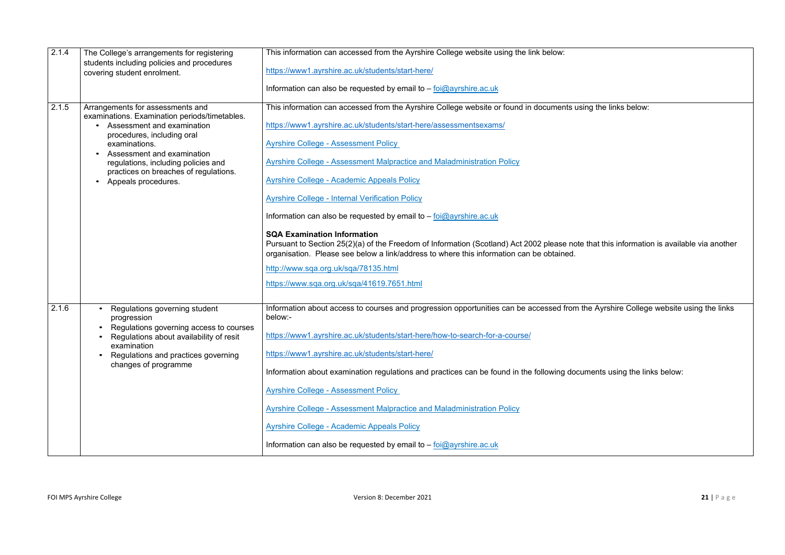| 2.1.4 | The College's arrangements for registering<br>students including policies and procedures                                                                                                                       | This information can accessed from the Ayrshire College website using the link below:                                                                                                                                           |
|-------|----------------------------------------------------------------------------------------------------------------------------------------------------------------------------------------------------------------|---------------------------------------------------------------------------------------------------------------------------------------------------------------------------------------------------------------------------------|
|       | covering student enrolment.                                                                                                                                                                                    | https://www1.ayrshire.ac.uk/students/start-here/                                                                                                                                                                                |
|       |                                                                                                                                                                                                                | Information can also be requested by email to $-$ foi@ayrshire.ac.uk                                                                                                                                                            |
| 2.1.5 | Arrangements for assessments and<br>examinations. Examination periods/timetables.                                                                                                                              | This information can accessed from the Ayrshire College website or found in documents using                                                                                                                                     |
|       | Assessment and examination<br>procedures, including oral<br>examinations.<br>Assessment and examination<br>regulations, including policies and<br>practices on breaches of regulations.<br>Appeals procedures. | https://www1.ayrshire.ac.uk/students/start-here/assessmentsexams/                                                                                                                                                               |
|       |                                                                                                                                                                                                                | <b>Ayrshire College - Assessment Policy</b>                                                                                                                                                                                     |
|       |                                                                                                                                                                                                                | <b>Ayrshire College - Assessment Malpractice and Maladministration Policy</b>                                                                                                                                                   |
|       |                                                                                                                                                                                                                | <b>Ayrshire College - Academic Appeals Policy</b>                                                                                                                                                                               |
|       |                                                                                                                                                                                                                | <b>Ayrshire College - Internal Verification Policy</b>                                                                                                                                                                          |
|       |                                                                                                                                                                                                                | Information can also be requested by email to $-$ foi@ayrshire.ac.uk                                                                                                                                                            |
|       |                                                                                                                                                                                                                | <b>SQA Examination Information</b><br>Pursuant to Section 25(2)(a) of the Freedom of Information (Scotland) Act 2002 please note th<br>organisation. Please see below a link/address to where this information can be obtained. |
|       |                                                                                                                                                                                                                | http://www.sqa.org.uk/sqa/78135.html                                                                                                                                                                                            |
|       |                                                                                                                                                                                                                | https://www.sqa.org.uk/sqa/41619.7651.html                                                                                                                                                                                      |
| 2.1.6 | Regulations governing student<br>progression                                                                                                                                                                   | Information about access to courses and progression opportunities can be accessed from the<br>below:-                                                                                                                           |
|       | Regulations governing access to courses<br>$\bullet$<br>Regulations about availability of resit<br>examination<br>Regulations and practices governing<br>$\bullet$                                             | https://www1.ayrshire.ac.uk/students/start-here/how-to-search-for-a-course/                                                                                                                                                     |
|       |                                                                                                                                                                                                                | https://www1.ayrshire.ac.uk/students/start-here/                                                                                                                                                                                |
|       | changes of programme                                                                                                                                                                                           | Information about examination regulations and practices can be found in the following docume                                                                                                                                    |
|       |                                                                                                                                                                                                                | <b>Ayrshire College - Assessment Policy</b>                                                                                                                                                                                     |
|       |                                                                                                                                                                                                                | <b>Ayrshire College - Assessment Malpractice and Maladministration Policy</b>                                                                                                                                                   |
|       |                                                                                                                                                                                                                | <b>Ayrshire College - Academic Appeals Policy</b>                                                                                                                                                                               |
|       |                                                                                                                                                                                                                | Information can also be requested by email to $-$ foi $@$ ayrshire.ac.uk                                                                                                                                                        |
|       |                                                                                                                                                                                                                |                                                                                                                                                                                                                                 |

The links below:

hat this information is available via another

**Example about access and progress** Ayrshire College website using the links

Information about examination rents using the links below: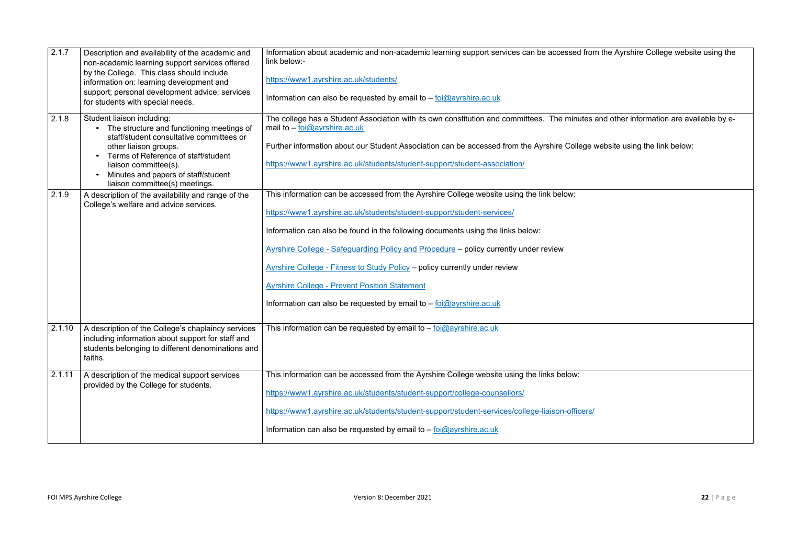| 2.1.7  | Description and availability of the academic and<br>non-academic learning support services offered<br>by the College. This class should include<br>information on: learning development and<br>support; personal development advice; services<br>for students with special needs.     | Information about academic and non-academic learning support services can be accessed fror<br>link below:-<br>https://www1.ayrshire.ac.uk/students/<br>Information can also be requested by email to $-$ foi $@$ ayrshire.ac.uk                                                                                                                                                                                                                                                                                                                                        |
|--------|---------------------------------------------------------------------------------------------------------------------------------------------------------------------------------------------------------------------------------------------------------------------------------------|------------------------------------------------------------------------------------------------------------------------------------------------------------------------------------------------------------------------------------------------------------------------------------------------------------------------------------------------------------------------------------------------------------------------------------------------------------------------------------------------------------------------------------------------------------------------|
| 2.1.8  | Student liaison including:<br>The structure and functioning meetings of<br>staff/student consultative committees or<br>other liaison groups.<br>Terms of Reference of staff/student<br>liaison committee(s).<br>Minutes and papers of staff/student<br>liaison committee(s) meetings. | The college has a Student Association with its own constitution and committees. The minutes<br>mail to $-$ foi@ayrshire.ac.uk<br>Further information about our Student Association can be accessed from the Ayrshire College<br>https://www1.ayrshire.ac.uk/students/student-support/student-association/                                                                                                                                                                                                                                                              |
| 2.1.9  | A description of the availability and range of the<br>College's welfare and advice services.                                                                                                                                                                                          | This information can be accessed from the Ayrshire College website using the link below:<br>https://www1.ayrshire.ac.uk/students/student-support/student-services/<br>Information can also be found in the following documents using the links below:<br>Ayrshire College - Safeguarding Policy and Procedure - policy currently under review<br><b>Ayrshire College - Fitness to Study Policy - policy currently under review</b><br><b>Ayrshire College - Prevent Position Statement</b><br>Information can also be requested by email to $-$ foi $@$ ayrshire.ac.uk |
| 2.1.10 | A description of the College's chaplaincy services<br>including information about support for staff and<br>students belonging to different denominations and<br>faiths.                                                                                                               | This information can be requested by email to $-\frac{foi(\omega)}{2}$ ayrshire.ac.uk                                                                                                                                                                                                                                                                                                                                                                                                                                                                                  |
| 2.1.11 | A description of the medical support services<br>provided by the College for students.                                                                                                                                                                                                | This information can be accessed from the Ayrshire College website using the links below:<br>https://www1.ayrshire.ac.uk/students/student-support/college-counsellors/<br>https://www1.ayrshire.ac.uk/students/student-support/student-services/college-liaison-officers/<br>Information can also be requested by email to - foi@ayrshire.ac.uk                                                                                                                                                                                                                        |

# om the Ayrshire College website using the

s and other information are available by e-

 $\mathbf s$  website using the link below: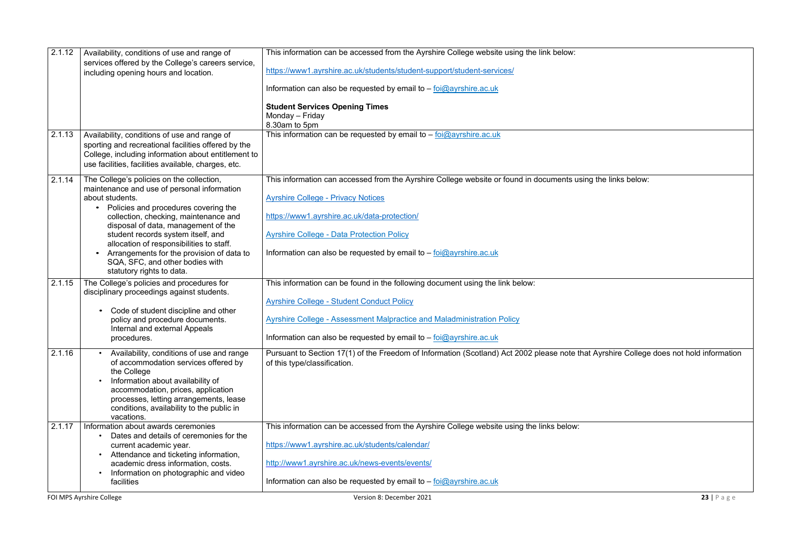| 2.1.12 | Availability, conditions of use and range of<br>services offered by the College's careers service,                                                                                                                                                                               | This information can be accessed from the Ayrshire College website using the link below:                                                                               |                |
|--------|----------------------------------------------------------------------------------------------------------------------------------------------------------------------------------------------------------------------------------------------------------------------------------|------------------------------------------------------------------------------------------------------------------------------------------------------------------------|----------------|
|        | including opening hours and location.                                                                                                                                                                                                                                            | https://www1.ayrshire.ac.uk/students/student-support/student-services/                                                                                                 |                |
|        |                                                                                                                                                                                                                                                                                  | Information can also be requested by email to $-$ foi@ayrshire.ac.uk                                                                                                   |                |
|        |                                                                                                                                                                                                                                                                                  | <b>Student Services Opening Times</b><br>Monday - Friday<br>8.30am to 5pm                                                                                              |                |
| 2.1.13 | Availability, conditions of use and range of<br>sporting and recreational facilities offered by the<br>College, including information about entitlement to<br>use facilities, facilities available, charges, etc.                                                                | This information can be requested by email to - foi@ayrshire.ac.uk                                                                                                     |                |
| 2.1.14 | The College's policies on the collection,<br>maintenance and use of personal information<br>about students.                                                                                                                                                                      | This information can accessed from the Ayrshire College website or found in documents using the links below:<br><b>Ayrshire College - Privacy Notices</b>              |                |
|        | Policies and procedures covering the<br>$\bullet$<br>collection, checking, maintenance and<br>disposal of data, management of the                                                                                                                                                | https://www1.ayrshire.ac.uk/data-protection/                                                                                                                           |                |
|        | student records system itself, and<br>allocation of responsibilities to staff.<br>Arrangements for the provision of data to<br>$\bullet$<br>SQA, SFC, and other bodies with<br>statutory rights to data.                                                                         | <b>Ayrshire College - Data Protection Policy</b><br>Information can also be requested by email to $-\frac{foi@ayrshire.ac.uk}{cei@ayrshire.ac.uk}$                     |                |
| 2.1.15 | The College's policies and procedures for<br>disciplinary proceedings against students.                                                                                                                                                                                          | This information can be found in the following document using the link below:                                                                                          |                |
|        |                                                                                                                                                                                                                                                                                  | <b>Ayrshire College - Student Conduct Policy</b>                                                                                                                       |                |
|        | • Code of student discipline and other<br>policy and procedure documents.<br>Internal and external Appeals                                                                                                                                                                       | <b>Ayrshire College - Assessment Malpractice and Maladministration Policy</b>                                                                                          |                |
|        | procedures.                                                                                                                                                                                                                                                                      | Information can also be requested by email to $-$ foi@ayrshire.ac.uk                                                                                                   |                |
| 2.1.16 | Availability, conditions of use and range<br>of accommodation services offered by<br>the College<br>Information about availability of<br>accommodation, prices, application<br>processes, letting arrangements, lease<br>conditions, availability to the public in<br>vacations. | Pursuant to Section 17(1) of the Freedom of Information (Scotland) Act 2002 please note that Ayrshire College does not hold informatio<br>of this type/classification. |                |
| 2.1.17 | Information about awards ceremonies                                                                                                                                                                                                                                              | This information can be accessed from the Ayrshire College website using the links below:                                                                              |                |
|        | Dates and details of ceremonies for the<br>current academic year.<br>Attendance and ticketing information,<br>academic dress information, costs.                                                                                                                                 | https://www1.ayrshire.ac.uk/students/calendar/                                                                                                                         |                |
|        |                                                                                                                                                                                                                                                                                  | http://www1.ayrshire.ac.uk/news-events/events/                                                                                                                         |                |
|        | Information on photographic and video<br>facilities                                                                                                                                                                                                                              | Information can also be requested by email to $-$ foi@ayrshire.ac.uk                                                                                                   |                |
|        | FOI MPS Ayrshire College                                                                                                                                                                                                                                                         | Version 8: December 2021                                                                                                                                               | 23   $P$ a g e |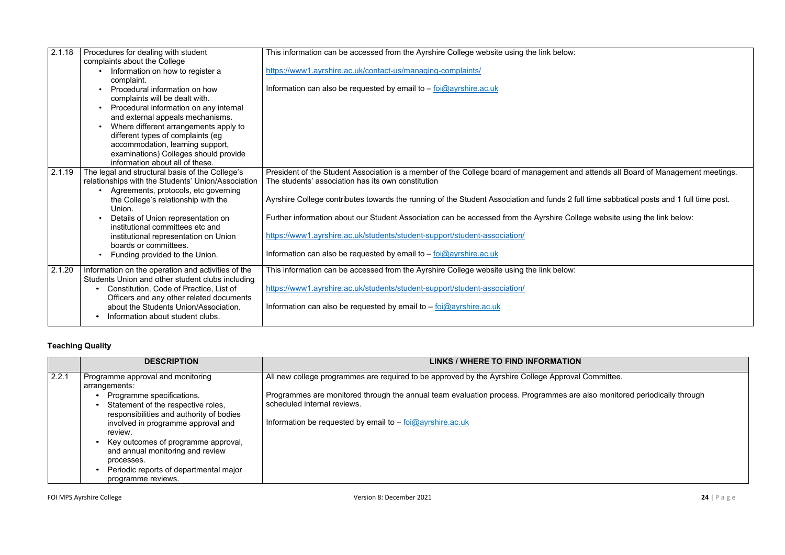| 2.1.18 | Procedures for dealing with student<br>complaints about the College                                                                                                                                                                                                                                                                                                                                    | This information can be accessed from the Ayrshire College website using the link below:                                                                                                                                                                                                                                                                                                                                                                                                                                           |
|--------|--------------------------------------------------------------------------------------------------------------------------------------------------------------------------------------------------------------------------------------------------------------------------------------------------------------------------------------------------------------------------------------------------------|------------------------------------------------------------------------------------------------------------------------------------------------------------------------------------------------------------------------------------------------------------------------------------------------------------------------------------------------------------------------------------------------------------------------------------------------------------------------------------------------------------------------------------|
|        | Information on how to register a<br>complaint.                                                                                                                                                                                                                                                                                                                                                         | https://www1.ayrshire.ac.uk/contact-us/managing-complaints/                                                                                                                                                                                                                                                                                                                                                                                                                                                                        |
|        | Procedural information on how<br>$\bullet$<br>complaints will be dealt with.<br>Procedural information on any internal<br>$\bullet$<br>and external appeals mechanisms.<br>Where different arrangements apply to<br>$\bullet$<br>different types of complaints (eg<br>accommodation, learning support,<br>examinations) Colleges should provide<br>information about all of these.                     | Information can also be requested by email to $-\frac{foi\omega}{2}$ ayrshire.ac.uk                                                                                                                                                                                                                                                                                                                                                                                                                                                |
| 2.1.19 | The legal and structural basis of the College's<br>relationships with the Students' Union/Association<br>Agreements, protocols, etc governing<br>$\bullet$<br>the College's relationship with the<br>Union.<br>Details of Union representation on<br>institutional committees etc and<br>institutional representation on Union<br>boards or committees.<br>Funding provided to the Union.<br>$\bullet$ | President of the Student Association is a member of the College board of management and at<br>The students' association has its own constitution<br>Ayrshire College contributes towards the running of the Student Association and funds 2 full tir<br>Further information about our Student Association can be accessed from the Ayrshire College<br>https://www1.ayrshire.ac.uk/students/student-support/student-association/<br>Information can also be requested by email to $-\frac{foi@ayrshire.ac.uk}{cei@ayrshire.ac.uk}$ |
| 2.1.20 | Information on the operation and activities of the<br>Students Union and other student clubs including<br>Constitution, Code of Practice, List of<br>$\bullet$<br>Officers and any other related documents<br>about the Students Union/Association.<br>Information about student clubs.                                                                                                                | This information can be accessed from the Ayrshire College website using the link below:<br>https://www1.ayrshire.ac.uk/students/student-support/student-association/<br>Information can also be requested by email to - foi@ayrshire.ac.uk                                                                                                                                                                                                                                                                                        |

# **Teaching Quality**

|       | <b>DESCRIPTION</b>                                                                                                                                                                                                                                                                                                    | <b>LINKS / WHERE TO FIND INFORMATION</b>                                                                                                                                                           |
|-------|-----------------------------------------------------------------------------------------------------------------------------------------------------------------------------------------------------------------------------------------------------------------------------------------------------------------------|----------------------------------------------------------------------------------------------------------------------------------------------------------------------------------------------------|
| 2.2.1 | Programme approval and monitoring<br>arrangements:                                                                                                                                                                                                                                                                    | All new college programmes are required to be approved by the Ayrshire College Approval Committee.                                                                                                 |
|       | Programme specifications.<br>Statement of the respective roles,<br>responsibilities and authority of bodies<br>involved in programme approval and<br>review.<br>Key outcomes of programme approval,<br>and annual monitoring and review<br>processes.<br>Periodic reports of departmental major<br>programme reviews. | Programmes are monitored through the annual team evaluation process. Programmes are also monitor<br>scheduled internal reviews.<br>Information be requested by email to $-$ foi $@$ ayrshire.ac.uk |

ttends all Board of Management meetings.

ime sabbatical posts and 1 full time post.

 $\mathbf s$  website using the link below:

so monitored periodically through t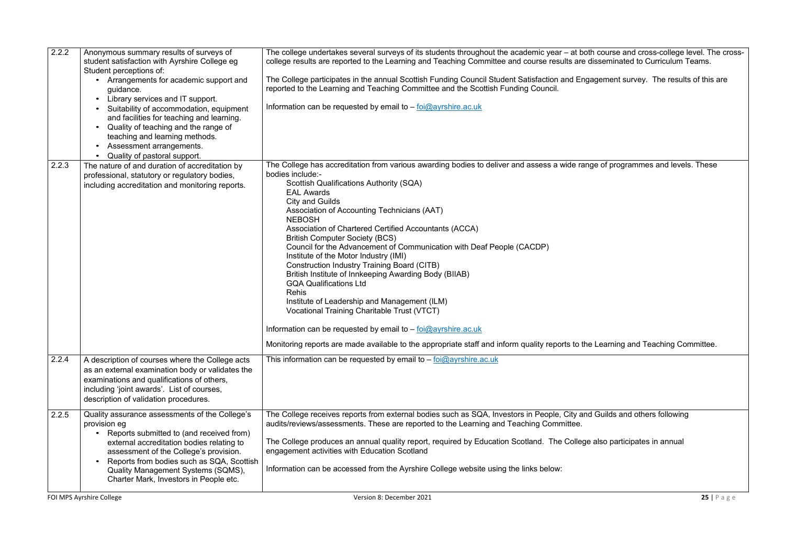| 2.2.2 | Anonymous summary results of surveys of<br>student satisfaction with Ayrshire College eg<br>Student perceptions of:                                                                                                                                                                                                                         | The college undertakes several surveys of its students throughout the academic year - at both course and cross-college level. The cross-<br>college results are reported to the Learning and Teaching Committee and course results are disseminated to Curriculum Teams.                                                                                                                                                                                                                                                                                                                                                                                                                                                                                                                                                                                                                                                                                                                                                                  |             |
|-------|---------------------------------------------------------------------------------------------------------------------------------------------------------------------------------------------------------------------------------------------------------------------------------------------------------------------------------------------|-------------------------------------------------------------------------------------------------------------------------------------------------------------------------------------------------------------------------------------------------------------------------------------------------------------------------------------------------------------------------------------------------------------------------------------------------------------------------------------------------------------------------------------------------------------------------------------------------------------------------------------------------------------------------------------------------------------------------------------------------------------------------------------------------------------------------------------------------------------------------------------------------------------------------------------------------------------------------------------------------------------------------------------------|-------------|
|       | Arrangements for academic support and<br>guidance.<br>Library services and IT support.<br>$\bullet$                                                                                                                                                                                                                                         | The College participates in the annual Scottish Funding Council Student Satisfaction and Engagement survey. The results of this are<br>reported to the Learning and Teaching Committee and the Scottish Funding Council.<br>Information can be requested by email to - foi@ayrshire.ac.uk                                                                                                                                                                                                                                                                                                                                                                                                                                                                                                                                                                                                                                                                                                                                                 |             |
|       | Suitability of accommodation, equipment<br>and facilities for teaching and learning.<br>Quality of teaching and the range of<br>$\bullet$<br>teaching and learning methods.<br>Assessment arrangements.<br>$\bullet$<br>Quality of pastoral support.                                                                                        |                                                                                                                                                                                                                                                                                                                                                                                                                                                                                                                                                                                                                                                                                                                                                                                                                                                                                                                                                                                                                                           |             |
| 2.2.3 | The nature of and duration of accreditation by<br>professional, statutory or regulatory bodies,<br>including accreditation and monitoring reports.                                                                                                                                                                                          | The College has accreditation from various awarding bodies to deliver and assess a wide range of programmes and levels. These<br>bodies include:-<br><b>Scottish Qualifications Authority (SQA)</b><br><b>EAL Awards</b><br><b>City and Guilds</b><br>Association of Accounting Technicians (AAT)<br><b>NEBOSH</b><br>Association of Chartered Certified Accountants (ACCA)<br><b>British Computer Society (BCS)</b><br>Council for the Advancement of Communication with Deaf People (CACDP)<br>Institute of the Motor Industry (IMI)<br><b>Construction Industry Training Board (CITB)</b><br>British Institute of Innkeeping Awarding Body (BIIAB)<br><b>GQA Qualifications Ltd</b><br><b>Rehis</b><br>Institute of Leadership and Management (ILM)<br><b>Vocational Training Charitable Trust (VTCT)</b><br>Information can be requested by email to $-\frac{f_{\text{O}}(Q)}{Q}$ ayrshire.ac.uk<br>Monitoring reports are made available to the appropriate staff and inform quality reports to the Learning and Teaching Committee. |             |
| 2.2.4 | A description of courses where the College acts<br>as an external examination body or validates the<br>examinations and qualifications of others,<br>including 'joint awards'. List of courses,<br>description of validation procedures.                                                                                                    | This information can be requested by email to $-\frac{foi@ayrshire.ac.uk}{f}$                                                                                                                                                                                                                                                                                                                                                                                                                                                                                                                                                                                                                                                                                                                                                                                                                                                                                                                                                             |             |
| 2.2.5 | Quality assurance assessments of the College's<br>provision eg<br>Reports submitted to (and received from)<br>external accreditation bodies relating to<br>assessment of the College's provision.<br>Reports from bodies such as SQA, Scottish<br>$\bullet$<br>Quality Management Systems (SQMS),<br>Charter Mark, Investors in People etc. | The College receives reports from external bodies such as SQA, Investors in People, City and Guilds and others following<br>audits/reviews/assessments. These are reported to the Learning and Teaching Committee.<br>The College produces an annual quality report, required by Education Scotland. The College also participates in annual<br>engagement activities with Education Scotland<br>Information can be accessed from the Ayrshire College website using the links below:                                                                                                                                                                                                                                                                                                                                                                                                                                                                                                                                                     |             |
|       | FOI MPS Ayrshire College                                                                                                                                                                                                                                                                                                                    | Version 8: December 2021                                                                                                                                                                                                                                                                                                                                                                                                                                                                                                                                                                                                                                                                                                                                                                                                                                                                                                                                                                                                                  | $25$   Page |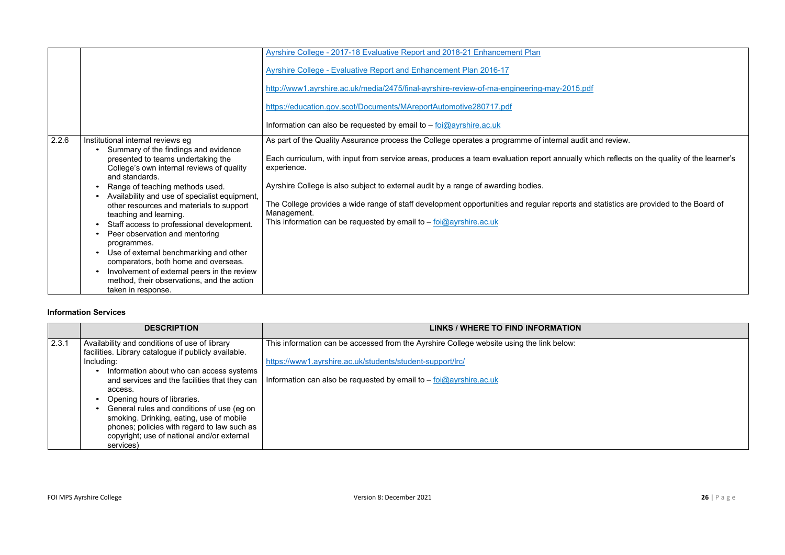|       |                                                                                                                                                                                                                                                                                                                                                                                                                                        | Ayrshire College - 2017-18 Evaluative Report and 2018-21 Enhancement Plan                                                                                                                                                                                                                                                                                                                                                                                                                                         |
|-------|----------------------------------------------------------------------------------------------------------------------------------------------------------------------------------------------------------------------------------------------------------------------------------------------------------------------------------------------------------------------------------------------------------------------------------------|-------------------------------------------------------------------------------------------------------------------------------------------------------------------------------------------------------------------------------------------------------------------------------------------------------------------------------------------------------------------------------------------------------------------------------------------------------------------------------------------------------------------|
|       |                                                                                                                                                                                                                                                                                                                                                                                                                                        | <b>Ayrshire College - Evaluative Report and Enhancement Plan 2016-17</b>                                                                                                                                                                                                                                                                                                                                                                                                                                          |
|       |                                                                                                                                                                                                                                                                                                                                                                                                                                        | http://www1.ayrshire.ac.uk/media/2475/final-ayrshire-review-of-ma-engineering-may-2015.pdf                                                                                                                                                                                                                                                                                                                                                                                                                        |
|       |                                                                                                                                                                                                                                                                                                                                                                                                                                        | https://education.gov.scot/Documents/MAreportAutomotive280717.pdf                                                                                                                                                                                                                                                                                                                                                                                                                                                 |
|       |                                                                                                                                                                                                                                                                                                                                                                                                                                        | Information can also be requested by email to $-$ foi $@$ ayrshire.ac.uk                                                                                                                                                                                                                                                                                                                                                                                                                                          |
| 2.2.6 | Institutional internal reviews eg<br>Summary of the findings and evidence<br>presented to teams undertaking the<br>College's own internal reviews of quality<br>and standards.<br>Range of teaching methods used.<br>Availability and use of specialist equipment,<br>other resources and materials to support<br>teaching and learning.<br>Staff access to professional development.<br>Peer observation and mentoring<br>programmes. | As part of the Quality Assurance process the College operates a programme of internal audit a<br>Each curriculum, with input from service areas, produces a team evaluation report annually whe<br>experience.<br>Ayrshire College is also subject to external audit by a range of awarding bodies.<br>The College provides a wide range of staff development opportunities and regular reports and<br>Management.<br>This information can be requested by email to $-\frac{foi\omega_{\text{aryshire.ac.uk}}{O}$ |
|       | Use of external benchmarking and other<br>comparators, both home and overseas.<br>Involvement of external peers in the review<br>method, their observations, and the action<br>taken in response.                                                                                                                                                                                                                                      |                                                                                                                                                                                                                                                                                                                                                                                                                                                                                                                   |

## **Information Services**

|       | <b>DESCRIPTION</b>                                                                                                                                                                | <b>LINKS / WHERE TO FIND INFORMATION</b>                                                 |
|-------|-----------------------------------------------------------------------------------------------------------------------------------------------------------------------------------|------------------------------------------------------------------------------------------|
| 2.3.1 | Availability and conditions of use of library<br>facilities. Library catalogue if publicly available.                                                                             | This information can be accessed from the Ayrshire College website using the link below: |
|       | Including:                                                                                                                                                                        | https://www1.ayrshire.ac.uk/students/student-support/lrc/                                |
|       | Information about who can access systems<br>and services and the facilities that they can<br>access.<br>Opening hours of libraries.<br>General rules and conditions of use (eg on | Information can also be requested by email to $-$ foi $@$ ayrshire.ac.uk                 |
|       | smoking. Drinking, eating, use of mobile<br>phones; policies with regard to law such as<br>copyright; use of national and/or external<br>services)                                |                                                                                          |

and review.

rhich reflects on the quality of the learner's

statistics are provided to the Board of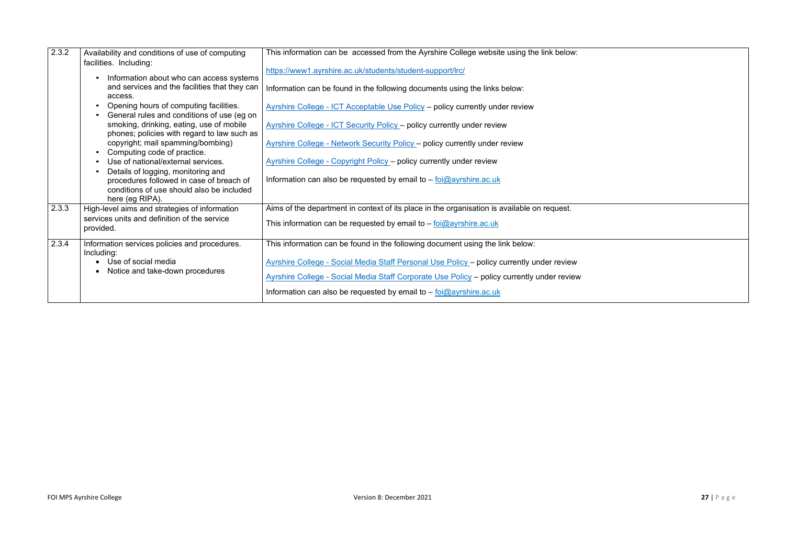| 2.3.2 | Availability and conditions of use of computing                                                          | This information can be accessed from the Ayrshire College website using the link below:    |
|-------|----------------------------------------------------------------------------------------------------------|---------------------------------------------------------------------------------------------|
|       | facilities. Including:<br>Information about who can access systems                                       | https://www1.ayrshire.ac.uk/students/student-support/lrc/                                   |
|       | and services and the facilities that they can<br>access.                                                 | Information can be found in the following documents using the links below:                  |
|       | Opening hours of computing facilities.<br>$\bullet$<br>General rules and conditions of use (eg on        | Ayrshire College - ICT Acceptable Use Policy - policy currently under review                |
|       | smoking, drinking, eating, use of mobile<br>phones; policies with regard to law such as                  | <b>Ayrshire College - ICT Security Policy - policy currently under review</b>               |
|       | copyright; mail spamming/bombing)<br>Computing code of practice.<br>$\bullet$                            | <b>Ayrshire College - Network Security Policy - policy currently under review</b>           |
|       | Use of national/external services.<br>$\bullet$<br>Details of logging, monitoring and                    | <b>Ayrshire College - Copyright Policy - policy currently under review</b>                  |
|       | procedures followed in case of breach of<br>conditions of use should also be included<br>here (eg RIPA). | Information can also be requested by email to $-$ foi $@$ ayrshire.ac.uk                    |
| 2.3.3 | High-level aims and strategies of information                                                            | Aims of the department in context of its place in the organisation is available on request. |
|       | services units and definition of the service<br>provided.                                                | This information can be requested by email to $-\frac{foi\omega}{2}$ ayrshire.ac.uk         |
| 2.3.4 | Information services policies and procedures.<br>Including:                                              | This information can be found in the following document using the link below:               |
|       | • Use of social media                                                                                    | Ayrshire College - Social Media Staff Personal Use Policy - policy currently under review   |
|       | Notice and take-down procedures                                                                          | Ayrshire College - Social Media Staff Corporate Use Policy - policy currently under review  |
|       |                                                                                                          | Information can also be requested by email to $-$ foi $@$ ayrshire.ac.uk                    |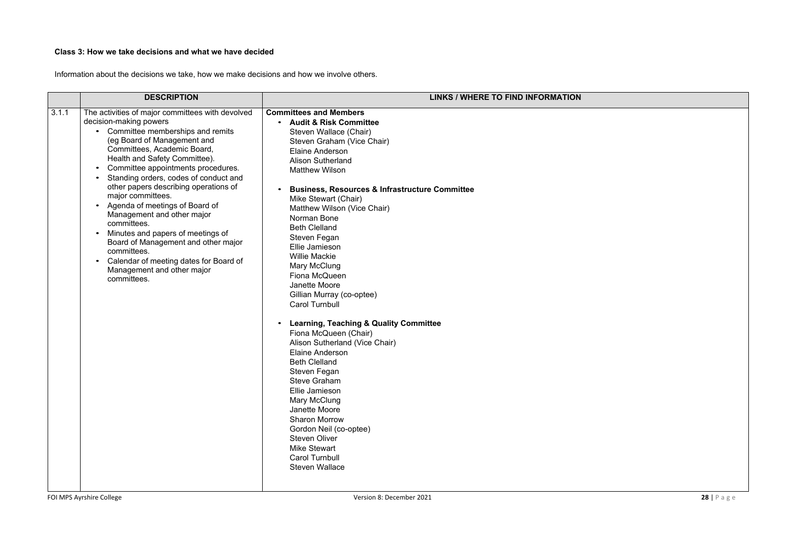# **Class 3: How we take decisions and what we have decided**

Information about the decisions we take, how we make decisions and how we involve others.

|       | <b>DESCRIPTION</b>                                                                                                                                                                                                                                                                                                                                                                                                                                                                                                                                                                                                                       | LINKS / WHERE TO FIND INFORMATION                                                                                                                                                                                                                                                                                                                                                                                                                                                                                                                                                                                                                                                                                                                                                                                                                                                                                                                         |
|-------|------------------------------------------------------------------------------------------------------------------------------------------------------------------------------------------------------------------------------------------------------------------------------------------------------------------------------------------------------------------------------------------------------------------------------------------------------------------------------------------------------------------------------------------------------------------------------------------------------------------------------------------|-----------------------------------------------------------------------------------------------------------------------------------------------------------------------------------------------------------------------------------------------------------------------------------------------------------------------------------------------------------------------------------------------------------------------------------------------------------------------------------------------------------------------------------------------------------------------------------------------------------------------------------------------------------------------------------------------------------------------------------------------------------------------------------------------------------------------------------------------------------------------------------------------------------------------------------------------------------|
| 3.1.1 | The activities of major committees with devolved<br>decision-making powers<br>Committee memberships and remits<br>(eg Board of Management and<br>Committees, Academic Board,<br>Health and Safety Committee).<br>Committee appointments procedures.<br>$\bullet$<br>Standing orders, codes of conduct and<br>other papers describing operations of<br>major committees.<br>Agenda of meetings of Board of<br>Management and other major<br>committees.<br>Minutes and papers of meetings of<br>Board of Management and other major<br>committees.<br>Calendar of meeting dates for Board of<br>Management and other major<br>committees. | <b>Committees and Members</b><br>• Audit & Risk Committee<br>Steven Wallace (Chair)<br>Steven Graham (Vice Chair)<br><b>Elaine Anderson</b><br><b>Alison Sutherland</b><br><b>Matthew Wilson</b><br><b>Business, Resources &amp; Infrastructure Committee</b><br>Mike Stewart (Chair)<br>Matthew Wilson (Vice Chair)<br>Norman Bone<br><b>Beth Clelland</b><br>Steven Fegan<br>Ellie Jamieson<br><b>Willie Mackie</b><br>Mary McClung<br>Fiona McQueen<br>Janette Moore<br>Gillian Murray (co-optee)<br><b>Carol Turnbull</b><br><b>Learning, Teaching &amp; Quality Committee</b><br>$\bullet$<br>Fiona McQueen (Chair)<br>Alison Sutherland (Vice Chair)<br><b>Elaine Anderson</b><br><b>Beth Clelland</b><br>Steven Fegan<br><b>Steve Graham</b><br>Ellie Jamieson<br>Mary McClung<br>Janette Moore<br><b>Sharon Morrow</b><br>Gordon Neil (co-optee)<br><b>Steven Oliver</b><br><b>Mike Stewart</b><br><b>Carol Turnbull</b><br><b>Steven Wallace</b> |

FOI MPS Ayrshire College **28** | P a g e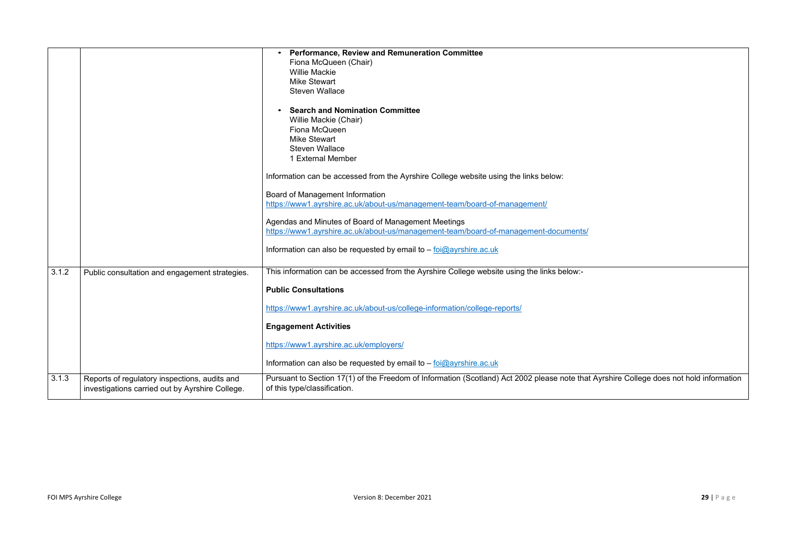|       |                                                                                                  | <b>Performance, Review and Remuneration Committee</b><br>Fiona McQueen (Chair)<br><b>Willie Mackie</b><br><b>Mike Stewart</b><br><b>Steven Wallace</b><br><b>Search and Nomination Committee</b><br>Willie Mackie (Chair)<br>Fiona McQueen<br><b>Mike Stewart</b><br><b>Steven Wallace</b><br>1 External Member<br>Information can be accessed from the Ayrshire College website using the links below:<br>Board of Management Information<br>https://www1.ayrshire.ac.uk/about-us/management-team/board-of-management/<br>Agendas and Minutes of Board of Management Meetings<br>https://www1.ayrshire.ac.uk/about-us/management-team/board-of-management-documents/ |
|-------|--------------------------------------------------------------------------------------------------|-----------------------------------------------------------------------------------------------------------------------------------------------------------------------------------------------------------------------------------------------------------------------------------------------------------------------------------------------------------------------------------------------------------------------------------------------------------------------------------------------------------------------------------------------------------------------------------------------------------------------------------------------------------------------|
|       |                                                                                                  | Information can also be requested by email to $-\frac{foi\omega}{\omega}$ ayrshire.ac.uk                                                                                                                                                                                                                                                                                                                                                                                                                                                                                                                                                                              |
| 3.1.2 | Public consultation and engagement strategies.                                                   | This information can be accessed from the Ayrshire College website using the links below:-<br><b>Public Consultations</b><br>https://www1.ayrshire.ac.uk/about-us/college-information/college-reports/<br><b>Engagement Activities</b><br>https://www1.ayrshire.ac.uk/employers/<br>Information can also be requested by email to – foi@ayrshire.ac.uk                                                                                                                                                                                                                                                                                                                |
| 3.1.3 | Reports of regulatory inspections, audits and<br>investigations carried out by Ayrshire College. | Pursuant to Section 17(1) of the Freedom of Information (Scotland) Act 2002 please note tha<br>of this type/classification.                                                                                                                                                                                                                                                                                                                                                                                                                                                                                                                                           |

at Ayrshire College does not hold information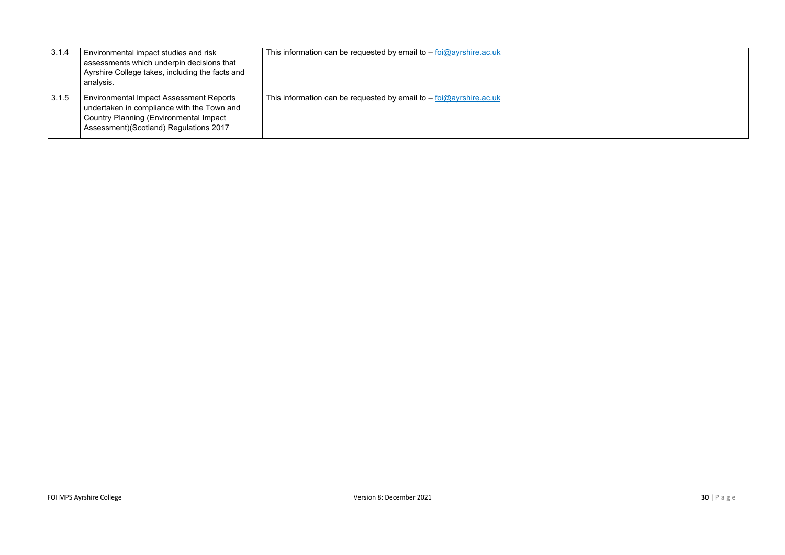| 3.1.4 | Environmental impact studies and risk<br>assessments which underpin decisions that<br>Ayrshire College takes, including the facts and<br>analysis.                                      | This information can be requested by email to $-$ foi $@$ ayrshire.ac.uk |
|-------|-----------------------------------------------------------------------------------------------------------------------------------------------------------------------------------------|--------------------------------------------------------------------------|
| 3.1.5 | <b>Environmental Impact Assessment Reports</b><br>undertaken in compliance with the Town and<br><b>Country Planning (Environmental Impact</b><br>Assessment)(Scotland) Regulations 2017 | This information can be requested by email to $-$ foi $@$ ayrshire.ac.uk |

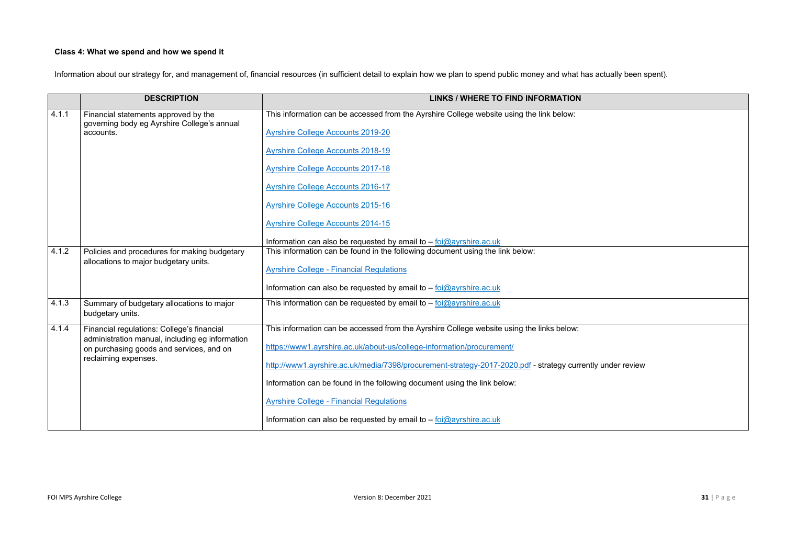# **Class 4: What we spend and how we spend it**

Information about our strategy for, and management of, financial resources (in sufficient detail to explain how we plan to spend public money and what has actually been spent).

|                                       | <b>DESCRIPTION</b>                                                                                                  | <b>LINKS / WHERE TO FIND INFORMATION</b>                                                   |
|---------------------------------------|---------------------------------------------------------------------------------------------------------------------|--------------------------------------------------------------------------------------------|
| 4.1.1                                 | Financial statements approved by the<br>governing body eg Ayrshire College's annual<br>accounts.                    | This information can be accessed from the Ayrshire College website using the link below:   |
|                                       |                                                                                                                     | <b>Ayrshire College Accounts 2019-20</b>                                                   |
|                                       |                                                                                                                     | <b>Ayrshire College Accounts 2018-19</b>                                                   |
|                                       |                                                                                                                     | <b>Ayrshire College Accounts 2017-18</b>                                                   |
|                                       |                                                                                                                     | <b>Ayrshire College Accounts 2016-17</b>                                                   |
|                                       |                                                                                                                     | <b>Ayrshire College Accounts 2015-16</b>                                                   |
|                                       |                                                                                                                     | <b>Ayrshire College Accounts 2014-15</b>                                                   |
|                                       |                                                                                                                     | Information can also be requested by email to $-$ foi $@$ ayrshire.ac.uk                   |
| 4.1.2                                 | Policies and procedures for making budgetary                                                                        | This information can be found in the following document using the link below:              |
| allocations to major budgetary units. |                                                                                                                     | <b>Ayrshire College - Financial Regulations</b>                                            |
|                                       |                                                                                                                     | Information can also be requested by email to $-$ foi $@$ ayrshire.ac.uk                   |
| 4.1.3                                 | Summary of budgetary allocations to major<br>budgetary units.                                                       | This information can be requested by email to $-$ foi $@$ ayrshire.ac.uk                   |
| 4.1.4                                 | Financial regulations: College's financial                                                                          | This information can be accessed from the Ayrshire College website using the links below:  |
|                                       | administration manual, including eg information<br>on purchasing goods and services, and on<br>reclaiming expenses. | https://www1.ayrshire.ac.uk/about-us/college-information/procurement/                      |
|                                       |                                                                                                                     | http://www1.ayrshire.ac.uk/media/7398/procurement-strategy-2017-2020.pdf - strategy curren |
|                                       |                                                                                                                     | Information can be found in the following document using the link below:                   |
|                                       |                                                                                                                     | <b>Ayrshire College - Financial Regulations</b>                                            |
|                                       |                                                                                                                     | Information can also be requested by email to $-$ foi $@$ ayrshire.ac.uk                   |

ntly under review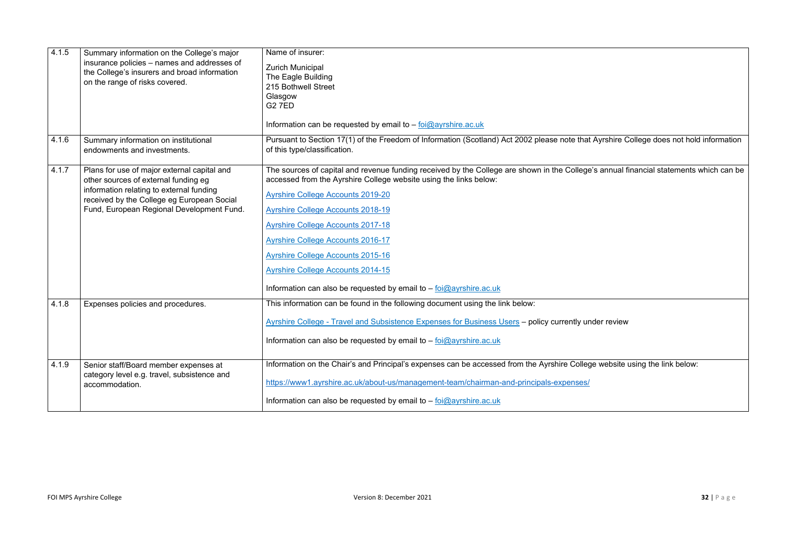| 4.1.5 | Summary information on the College's major<br>insurance policies - names and addresses of<br>the College's insurers and broad information<br>on the range of risks covered.                                                | Name of insurer:<br><b>Zurich Municipal</b><br>The Eagle Building<br>215 Bothwell Street<br>Glasgow<br><b>G27ED</b><br>Information can be requested by email to - foi@ayrshire.ac.uk                        |
|-------|----------------------------------------------------------------------------------------------------------------------------------------------------------------------------------------------------------------------------|-------------------------------------------------------------------------------------------------------------------------------------------------------------------------------------------------------------|
| 4.1.6 | Summary information on institutional<br>endowments and investments.                                                                                                                                                        | Pursuant to Section 17(1) of the Freedom of Information (Scotland) Act 2002 please note that Ayrshire College does not hold information<br>of this type/classification.                                     |
| 4.1.7 | Plans for use of major external capital and<br>other sources of external funding eg<br>information relating to external funding<br>received by the College eg European Social<br>Fund, European Regional Development Fund. | The sources of capital and revenue funding received by the College are shown in the College's annual financial statements which can be<br>accessed from the Ayrshire College website using the links below: |
|       |                                                                                                                                                                                                                            | <b>Ayrshire College Accounts 2019-20</b>                                                                                                                                                                    |
|       |                                                                                                                                                                                                                            | <b>Ayrshire College Accounts 2018-19</b>                                                                                                                                                                    |
|       |                                                                                                                                                                                                                            | <b>Ayrshire College Accounts 2017-18</b>                                                                                                                                                                    |
|       |                                                                                                                                                                                                                            | <b>Ayrshire College Accounts 2016-17</b>                                                                                                                                                                    |
|       |                                                                                                                                                                                                                            | <b>Ayrshire College Accounts 2015-16</b>                                                                                                                                                                    |
|       |                                                                                                                                                                                                                            | <b>Ayrshire College Accounts 2014-15</b>                                                                                                                                                                    |
|       |                                                                                                                                                                                                                            | Information can also be requested by email to $-$ foi $@$ ayrshire.ac.uk                                                                                                                                    |
| 4.1.8 | Expenses policies and procedures.                                                                                                                                                                                          | This information can be found in the following document using the link below:                                                                                                                               |
|       |                                                                                                                                                                                                                            | Ayrshire College - Travel and Subsistence Expenses for Business Users - policy currently under review                                                                                                       |
|       |                                                                                                                                                                                                                            | Information can also be requested by email to $-$ foi@ayrshire.ac.uk                                                                                                                                        |
| 4.1.9 | Senior staff/Board member expenses at<br>category level e.g. travel, subsistence and<br>accommodation.                                                                                                                     | Information on the Chair's and Principal's expenses can be accessed from the Ayrshire College website using the link below:                                                                                 |
|       |                                                                                                                                                                                                                            | https://www1.ayrshire.ac.uk/about-us/management-team/chairman-and-principals-expenses/                                                                                                                      |
|       |                                                                                                                                                                                                                            | Information can also be requested by email to $-$ foi@ayrshire.ac.uk                                                                                                                                        |

| Ayrshire College does not hold information  |
|---------------------------------------------|
| 's annual financial statements which can be |
|                                             |
|                                             |
|                                             |
|                                             |
| der review                                  |
| e website using the link below:             |
|                                             |
|                                             |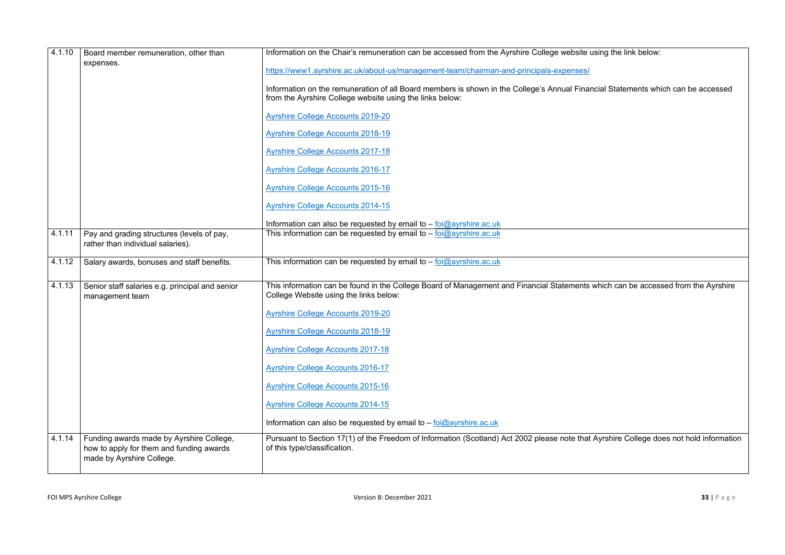| 4.1.10 | Board member remuneration, other than                                                                             | Information on the Chair's remuneration can be accessed from the Ayrshire College website u                                                             |
|--------|-------------------------------------------------------------------------------------------------------------------|---------------------------------------------------------------------------------------------------------------------------------------------------------|
|        | expenses.                                                                                                         | https://www1.ayrshire.ac.uk/about-us/management-team/chairman-and-principals-expenses/                                                                  |
|        |                                                                                                                   | Information on the remuneration of all Board members is shown in the College's Annual Finar<br>from the Ayrshire College website using the links below: |
|        |                                                                                                                   | <b>Ayrshire College Accounts 2019-20</b>                                                                                                                |
|        |                                                                                                                   | <b>Ayrshire College Accounts 2018-19</b>                                                                                                                |
|        |                                                                                                                   | <b>Ayrshire College Accounts 2017-18</b>                                                                                                                |
|        |                                                                                                                   | <b>Ayrshire College Accounts 2016-17</b>                                                                                                                |
|        |                                                                                                                   | <b>Ayrshire College Accounts 2015-16</b>                                                                                                                |
|        |                                                                                                                   | <b>Ayrshire College Accounts 2014-15</b>                                                                                                                |
|        |                                                                                                                   | Information can also be requested by email to $-$ foi@ayrshire.ac.uk                                                                                    |
| 4.1.11 | Pay and grading structures (levels of pay,<br>rather than individual salaries).                                   | This information can be requested by email to $-$ foi $@$ ayrshire.ac.uk                                                                                |
| 4.1.12 | Salary awards, bonuses and staff benefits.                                                                        | This information can be requested by email to $-$ foi $@$ ayrshire.ac.uk                                                                                |
| 4.1.13 | Senior staff salaries e.g. principal and senior<br>management team                                                | This information can be found in the College Board of Management and Financial Statements of<br>College Website using the links below:                  |
|        |                                                                                                                   | <b>Ayrshire College Accounts 2019-20</b>                                                                                                                |
|        |                                                                                                                   | <b>Ayrshire College Accounts 2018-19</b>                                                                                                                |
|        |                                                                                                                   | <b>Ayrshire College Accounts 2017-18</b>                                                                                                                |
|        |                                                                                                                   | <b>Ayrshire College Accounts 2016-17</b>                                                                                                                |
|        |                                                                                                                   | <b>Ayrshire College Accounts 2015-16</b>                                                                                                                |
|        |                                                                                                                   | <b>Ayrshire College Accounts 2014-15</b>                                                                                                                |
|        |                                                                                                                   | Information can also be requested by email to $-\frac{foi\omega}{\omega}$ ayrshire.ac.uk                                                                |
| 4.1.14 | Funding awards made by Ayrshire College,<br>how to apply for them and funding awards<br>made by Ayrshire College. | Pursuant to Section 17(1) of the Freedom of Information (Scotland) Act 2002 please note that<br>of this type/classification.                            |
|        |                                                                                                                   |                                                                                                                                                         |

**Information on the Chair remains remains can be a** 

ncial Statements which can be accessed

 $\sigma$  which can be accessed from the Ayrshire

I Ayrshire College does not hold information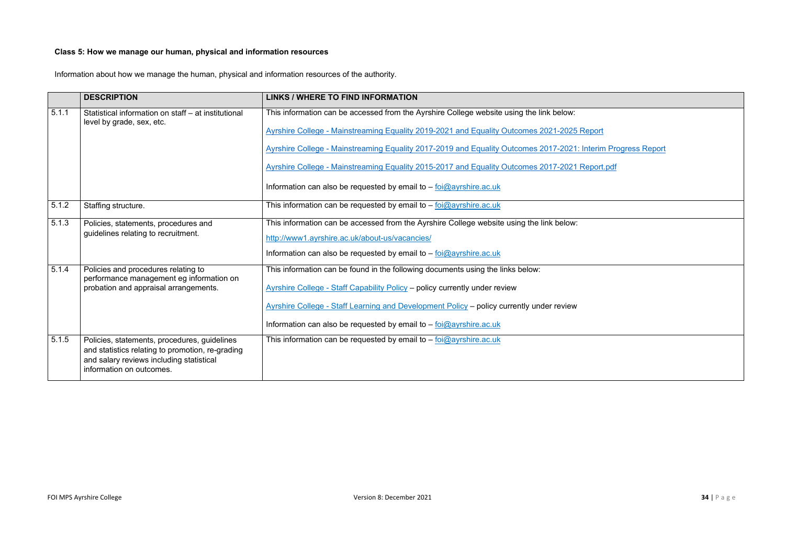# **Class 5: How we manage our human, physical and information resources**

Information about how we manage the human, physical and information resources of the authority.

|       | <b>DESCRIPTION</b>                                                                                                                                                       | <b>LINKS / WHERE TO FIND INFORMATION</b>                                                                     |
|-------|--------------------------------------------------------------------------------------------------------------------------------------------------------------------------|--------------------------------------------------------------------------------------------------------------|
| 5.1.1 | Statistical information on staff - at institutional<br>level by grade, sex, etc.                                                                                         | This information can be accessed from the Ayrshire College website using the link below:                     |
|       |                                                                                                                                                                          | Ayrshire College - Mainstreaming Equality 2019-2021 and Equality Outcomes 2021-2025 Report                   |
|       |                                                                                                                                                                          | Ayrshire College - Mainstreaming Equality 2017-2019 and Equality Outcomes 2017-2021: Interim Progress Report |
|       |                                                                                                                                                                          | Ayrshire College - Mainstreaming Equality 2015-2017 and Equality Outcomes 2017-2021 Report.pdf               |
|       |                                                                                                                                                                          | Information can also be requested by email to - foi@ayrshire.ac.uk                                           |
| 5.1.2 | Staffing structure.                                                                                                                                                      | This information can be requested by email to - foi@ayrshire.ac.uk                                           |
| 5.1.3 | Policies, statements, procedures and<br>guidelines relating to recruitment.                                                                                              | This information can be accessed from the Ayrshire College website using the link below:                     |
|       |                                                                                                                                                                          | http://www1.ayrshire.ac.uk/about-us/vacancies/                                                               |
|       |                                                                                                                                                                          | Information can also be requested by email to $-$ foi@ayrshire.ac.uk                                         |
| 5.1.4 | Policies and procedures relating to<br>performance management eg information on                                                                                          | This information can be found in the following documents using the links below:                              |
|       | probation and appraisal arrangements.                                                                                                                                    | <b>Ayrshire College - Staff Capability Policy - policy currently under review</b>                            |
|       |                                                                                                                                                                          | Ayrshire College - Staff Learning and Development Policy - policy currently under review                     |
|       |                                                                                                                                                                          | Information can also be requested by email to $-$ foi@ayrshire.ac.uk                                         |
| 5.1.5 | Policies, statements, procedures, guidelines<br>and statistics relating to promotion, re-grading<br>and salary reviews including statistical<br>information on outcomes. | This information can be requested by email to $-$ foi@ayrshire.ac.uk                                         |

| <u>ort</u>                  |
|-----------------------------|
| <u>erim Progress Report</u> |
| ort.pdf                     |
|                             |
|                             |
|                             |
|                             |
|                             |
|                             |
|                             |
|                             |
|                             |
|                             |
|                             |
|                             |
|                             |
|                             |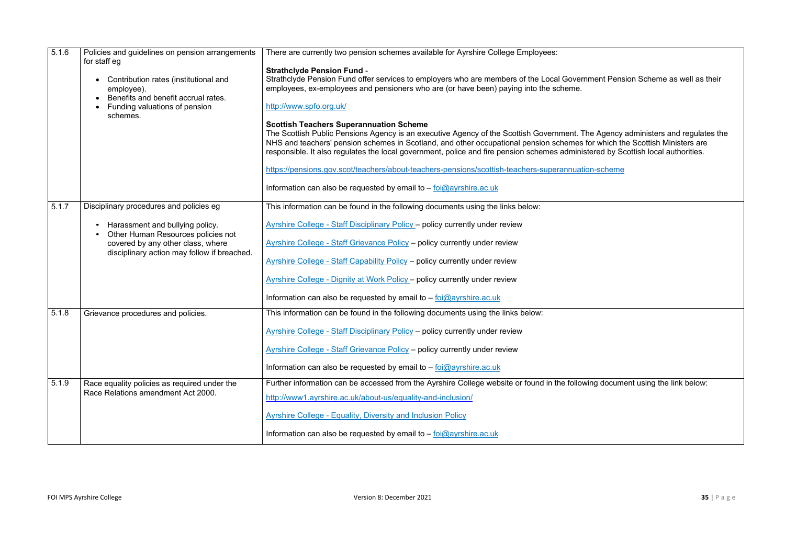| 5.1.6 | Policies and guidelines on pension arrangements<br>for staff eg<br>Contribution rates (institutional and<br>employee).<br>Benefits and benefit accrual rates.<br>Funding valuations of pension<br>schemes. | There are currently two pension schemes available for Ayrshire College Employees:<br><b>Strathclyde Pension Fund -</b><br>Strathclyde Pension Fund offer services to employers who are members of the Local Government Pension Scheme as well as their<br>employees, ex-employees and pensioners who are (or have been) paying into the scheme.<br>http://www.spfo.org.uk/<br><b>Scottish Teachers Superannuation Scheme</b><br>The Scottish Public Pensions Agency is an executive Agency of the Scottish Government. The Agency administers and regulates the<br>NHS and teachers' pension schemes in Scotland, and other occupational pension schemes for which the Scottish Ministers are<br>responsible. It also regulates the local government, police and fire pension schemes administered by Scottish local authorities.<br>https://pensions.gov.scot/teachers/about-teachers-pensions/scottish-teachers-superannuation-scheme<br>Information can also be requested by email to $-$ foi $@$ ayrshire.ac.uk |
|-------|------------------------------------------------------------------------------------------------------------------------------------------------------------------------------------------------------------|---------------------------------------------------------------------------------------------------------------------------------------------------------------------------------------------------------------------------------------------------------------------------------------------------------------------------------------------------------------------------------------------------------------------------------------------------------------------------------------------------------------------------------------------------------------------------------------------------------------------------------------------------------------------------------------------------------------------------------------------------------------------------------------------------------------------------------------------------------------------------------------------------------------------------------------------------------------------------------------------------------------------|
| 5.1.7 | Disciplinary procedures and policies eg                                                                                                                                                                    | This information can be found in the following documents using the links below:                                                                                                                                                                                                                                                                                                                                                                                                                                                                                                                                                                                                                                                                                                                                                                                                                                                                                                                                     |
|       | Harassment and bullying policy.<br>Other Human Resources policies not<br>covered by any other class, where<br>disciplinary action may follow if breached.                                                  | Ayrshire College - Staff Disciplinary Policy - policy currently under review<br><b>Ayrshire College - Staff Grievance Policy - policy currently under review</b><br>Ayrshire College - Staff Capability Policy - policy currently under review<br>Ayrshire College - Dignity at Work Policy - policy currently under review<br>Information can also be requested by email to $ \frac{\text{fo}(\text{Qayrshire.ac.uk})}{\text{fo}(\text{Qayrshire.ac.uk})}$                                                                                                                                                                                                                                                                                                                                                                                                                                                                                                                                                         |
| 5.1.8 | Grievance procedures and policies.                                                                                                                                                                         | This information can be found in the following documents using the links below:                                                                                                                                                                                                                                                                                                                                                                                                                                                                                                                                                                                                                                                                                                                                                                                                                                                                                                                                     |
|       |                                                                                                                                                                                                            | <b>Ayrshire College - Staff Disciplinary Policy - policy currently under review</b>                                                                                                                                                                                                                                                                                                                                                                                                                                                                                                                                                                                                                                                                                                                                                                                                                                                                                                                                 |
|       |                                                                                                                                                                                                            | <b>Ayrshire College - Staff Grievance Policy - policy currently under review</b>                                                                                                                                                                                                                                                                                                                                                                                                                                                                                                                                                                                                                                                                                                                                                                                                                                                                                                                                    |
|       |                                                                                                                                                                                                            | Information can also be requested by email to $ \frac{\text{fo}(\text{Qayrshire.ac.uk})}{\text{fo}(\text{Qayrshire.ac.uk})}$                                                                                                                                                                                                                                                                                                                                                                                                                                                                                                                                                                                                                                                                                                                                                                                                                                                                                        |
| 5.1.9 | Race equality policies as required under the<br>Race Relations amendment Act 2000.                                                                                                                         | Further information can be accessed from the Ayrshire College website or found in the following document using the link below:                                                                                                                                                                                                                                                                                                                                                                                                                                                                                                                                                                                                                                                                                                                                                                                                                                                                                      |
|       |                                                                                                                                                                                                            | http://www1.ayrshire.ac.uk/about-us/equality-and-inclusion/                                                                                                                                                                                                                                                                                                                                                                                                                                                                                                                                                                                                                                                                                                                                                                                                                                                                                                                                                         |
|       |                                                                                                                                                                                                            | <b>Ayrshire College - Equality, Diversity and Inclusion Policy</b>                                                                                                                                                                                                                                                                                                                                                                                                                                                                                                                                                                                                                                                                                                                                                                                                                                                                                                                                                  |
|       |                                                                                                                                                                                                            | Information can also be requested by email to $-$ foi $@$ ayrshire.ac.uk                                                                                                                                                                                                                                                                                                                                                                                                                                                                                                                                                                                                                                                                                                                                                                                                                                                                                                                                            |

| ent Pension Scheme as well as their                                                                                                        |
|--------------------------------------------------------------------------------------------------------------------------------------------|
| <b>Agency administers and regulates the</b><br>r which the Scottish Ministers are<br>red by Scottish local authorities.<br><u>n-scheme</u> |
|                                                                                                                                            |
|                                                                                                                                            |
| ig document using the link below:                                                                                                          |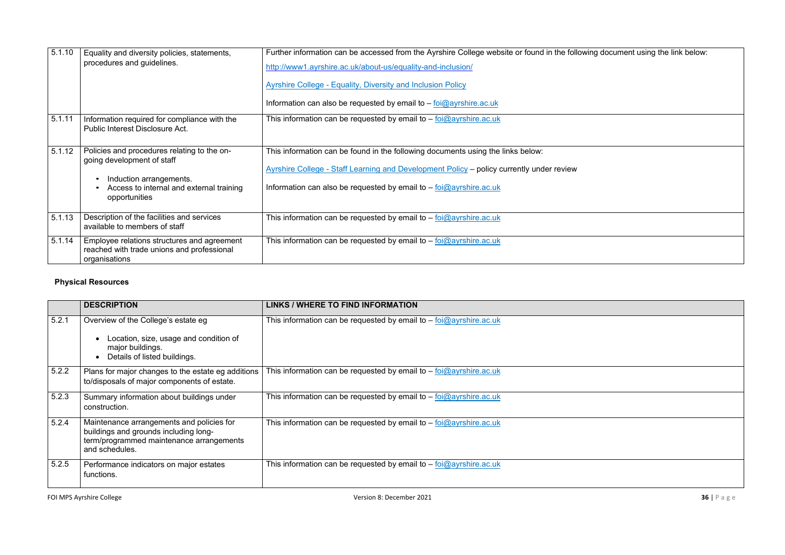| 5.1.10 | Equality and diversity policies, statements,<br>procedures and guidelines.                                                                                        | Further information can be accessed from the Ayrshire College website or found in the following document using the link below:<br>http://www1.ayrshire.ac.uk/about-us/equality-and-inclusion/<br><b>Ayrshire College - Equality, Diversity and Inclusion Policy</b><br>Information can also be requested by email to $-$ foi@ayrshire.ac.uk |
|--------|-------------------------------------------------------------------------------------------------------------------------------------------------------------------|---------------------------------------------------------------------------------------------------------------------------------------------------------------------------------------------------------------------------------------------------------------------------------------------------------------------------------------------|
| 5.1.11 | Information required for compliance with the<br>Public Interest Disclosure Act.                                                                                   | This information can be requested by email to $-$ foi $@$ ayrshire.ac.uk                                                                                                                                                                                                                                                                    |
| 5.1.12 | Policies and procedures relating to the on-<br>going development of staff<br>Induction arrangements.<br>Access to internal and external training<br>opportunities | This information can be found in the following documents using the links below:<br>Ayrshire College - Staff Learning and Development Policy - policy currently under review<br>Information can also be requested by email to $-$ foi $@$ ayrshire.ac.uk                                                                                     |
| 5.1.13 | Description of the facilities and services<br>available to members of staff                                                                                       | This information can be requested by email to $-$ foi $@$ ayrshire.ac.uk                                                                                                                                                                                                                                                                    |
| 5.1.14 | Employee relations structures and agreement<br>reached with trade unions and professional<br>organisations                                                        | This information can be requested by email to $-$ foi $@$ ayrshire.ac.uk                                                                                                                                                                                                                                                                    |

# **Physical Resources**

|       | <b>DESCRIPTION</b>                                                                                                                               | <b>LINKS / WHERE TO FIND INFORMATION</b>                                 |
|-------|--------------------------------------------------------------------------------------------------------------------------------------------------|--------------------------------------------------------------------------|
| 5.2.1 | Overview of the College's estate eg<br>Location, size, usage and condition of<br>major buildings.<br>Details of listed buildings.                | This information can be requested by email to $-$ foi $@$ ayrshire.ac.uk |
| 5.2.2 | Plans for major changes to the estate eg additions<br>to/disposals of major components of estate.                                                | This information can be requested by email to $-$ foi $@$ ayrshire.ac.uk |
| 5.2.3 | Summary information about buildings under<br>construction.                                                                                       | This information can be requested by email to - foi@ayrshire.ac.uk       |
| 5.2.4 | Maintenance arrangements and policies for<br>buildings and grounds including long-<br>term/programmed maintenance arrangements<br>and schedules. | This information can be requested by email to $-$ foi $@$ ayrshire.ac.uk |
| 5.2.5 | Performance indicators on major estates<br>functions.                                                                                            | This information can be requested by email to $-$ foi $@$ ayrshire.ac.uk |

| ing document using the link below: |  |  |
|------------------------------------|--|--|
|                                    |  |  |
|                                    |  |  |
|                                    |  |  |
|                                    |  |  |
|                                    |  |  |
|                                    |  |  |
|                                    |  |  |
|                                    |  |  |
|                                    |  |  |
|                                    |  |  |
|                                    |  |  |
|                                    |  |  |
|                                    |  |  |
|                                    |  |  |
|                                    |  |  |

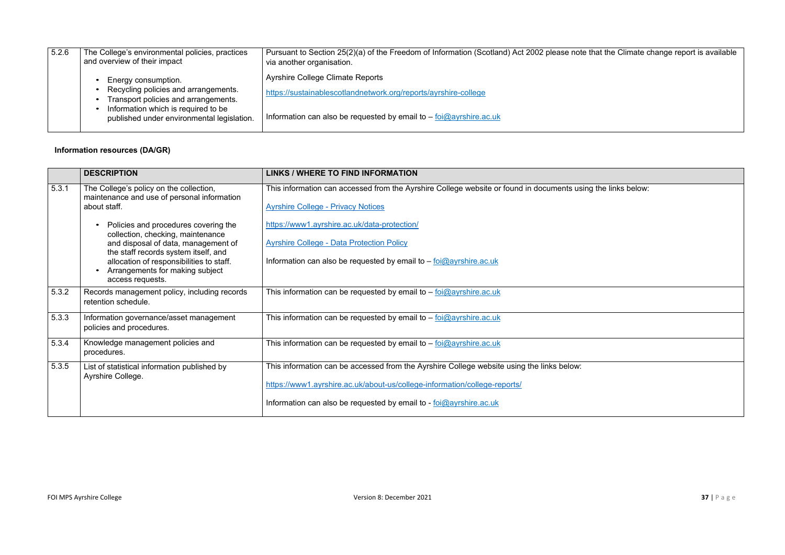| 5.2.6 | The College's environmental policies, practices<br>and overview of their impact                                                                                                          | Pursuant to Section 25(2)(a) of the Freedom of Information (Scotland) Act 2002 please note the<br>via another organisation.                                                            |
|-------|------------------------------------------------------------------------------------------------------------------------------------------------------------------------------------------|----------------------------------------------------------------------------------------------------------------------------------------------------------------------------------------|
|       | Energy consumption.<br>Recycling policies and arrangements.<br>Transport policies and arrangements.<br>Information which is required to be<br>published under environmental legislation. | <b>Ayrshire College Climate Reports</b><br>https://sustainablescotlandnetwork.org/reports/ayrshire-college<br>Information can also be requested by email to $-$ foi $@$ ayrshire.ac.uk |
|       |                                                                                                                                                                                          |                                                                                                                                                                                        |

# **Information resources (DA/GR)**

|       | <b>DESCRIPTION</b>                                                                                                                      | <b>LINKS / WHERE TO FIND INFORMATION</b>                                                                                                                                                                                                                 |
|-------|-----------------------------------------------------------------------------------------------------------------------------------------|----------------------------------------------------------------------------------------------------------------------------------------------------------------------------------------------------------------------------------------------------------|
| 5.3.1 | The College's policy on the collection,<br>maintenance and use of personal information<br>about staff.                                  | This information can accessed from the Ayrshire College website or found in documents using<br><b>Ayrshire College - Privacy Notices</b>                                                                                                                 |
|       | Policies and procedures covering the<br>collection, checking, maintenance<br>and disposal of data, management of                        | https://www1.ayrshire.ac.uk/data-protection/<br><b>Ayrshire College - Data Protection Policy</b>                                                                                                                                                         |
|       | the staff records system itself, and<br>allocation of responsibilities to staff.<br>Arrangements for making subject<br>access requests. | Information can also be requested by email to $-$ foi $@$ ayrshire.ac.uk                                                                                                                                                                                 |
| 5.3.2 | Records management policy, including records<br>retention schedule.                                                                     | This information can be requested by email to $-$ foi $@$ ayrshire.ac.uk                                                                                                                                                                                 |
| 5.3.3 | Information governance/asset management<br>policies and procedures.                                                                     | This information can be requested by email to $-$ foi@ayrshire.ac.uk                                                                                                                                                                                     |
| 5.3.4 | Knowledge management policies and<br>procedures.                                                                                        | This information can be requested by email to $-$ foi $@$ ayrshire.ac.uk                                                                                                                                                                                 |
| 5.3.5 | List of statistical information published by<br>Ayrshire College.                                                                       | This information can be accessed from the Ayrshire College website using the links below:<br>https://www1.ayrshire.ac.uk/about-us/college-information/college-reports/<br>Information can also be requested by email to - $\frac{1}{10}$ overshire ac.uk |
|       |                                                                                                                                         |                                                                                                                                                                                                                                                          |

# hat the Climate change report is available

If the links below: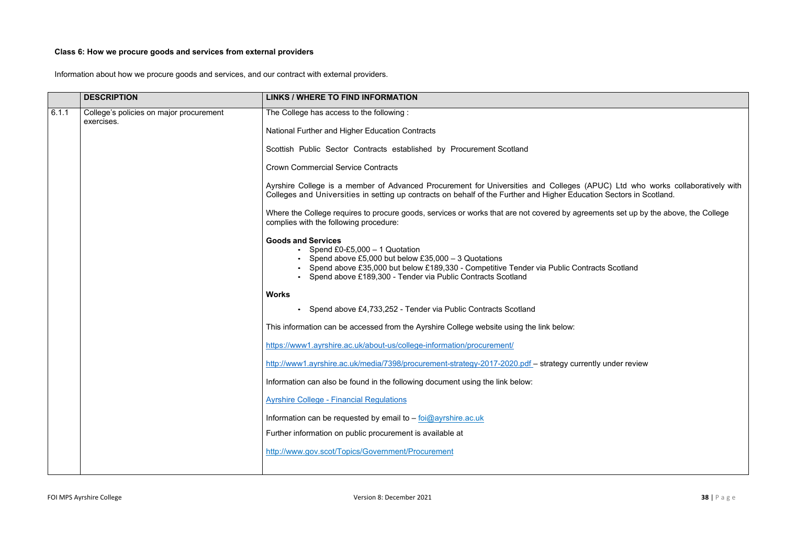# **Class 6: How we procure goods and services from external providers**

Information about how we procure goods and services, and our contract with external providers.

|       | <b>DESCRIPTION</b>                                    | <b>LINKS / WHERE TO FIND INFORMATION</b>                                                                                                                                                                                                                                            |
|-------|-------------------------------------------------------|-------------------------------------------------------------------------------------------------------------------------------------------------------------------------------------------------------------------------------------------------------------------------------------|
| 6.1.1 | College's policies on major procurement<br>exercises. | The College has access to the following:                                                                                                                                                                                                                                            |
|       |                                                       | National Further and Higher Education Contracts                                                                                                                                                                                                                                     |
|       |                                                       | Scottish Public Sector Contracts established by Procurement Scotland                                                                                                                                                                                                                |
|       |                                                       | <b>Crown Commercial Service Contracts</b>                                                                                                                                                                                                                                           |
|       |                                                       | Ayrshire College is a member of Advanced Procurement for Universities and Colleges (APUC) Ltd who works collaboratively with<br>Colleges and Universities in setting up contracts on behalf of the Further and Higher Education Sectors in Scotland.                                |
|       |                                                       | Where the College requires to procure goods, services or works that are not covered by agreements set up by the above, the College<br>complies with the following procedure:                                                                                                        |
|       |                                                       | <b>Goods and Services</b><br>• Spend £0-£5,000 $-$ 1 Quotation<br>• Spend above £5,000 but below £35,000 - 3 Quotations<br>Spend above £35,000 but below £189,330 - Competitive Tender via Public Contracts Scotland<br>Spend above £189,300 - Tender via Public Contracts Scotland |
|       |                                                       | <b>Works</b>                                                                                                                                                                                                                                                                        |
|       |                                                       | Spend above £4,733,252 - Tender via Public Contracts Scotland                                                                                                                                                                                                                       |
|       |                                                       | This information can be accessed from the Ayrshire College website using the link below:                                                                                                                                                                                            |
|       |                                                       | https://www1.ayrshire.ac.uk/about-us/college-information/procurement/                                                                                                                                                                                                               |
|       |                                                       | http://www1.ayrshire.ac.uk/media/7398/procurement-strategy-2017-2020.pdf – strategy currently under review                                                                                                                                                                          |
|       |                                                       | Information can also be found in the following document using the link below:                                                                                                                                                                                                       |
|       |                                                       | <b>Ayrshire College - Financial Regulations</b>                                                                                                                                                                                                                                     |
|       |                                                       | Information can be requested by email to $ \frac{1}{100}$ ayrshire.ac.uk                                                                                                                                                                                                            |
|       |                                                       | Further information on public procurement is available at                                                                                                                                                                                                                           |
|       |                                                       | http://www.gov.scot/Topics/Government/Procurement                                                                                                                                                                                                                                   |
|       |                                                       |                                                                                                                                                                                                                                                                                     |

| PUC) Ltd who works collaboratively with<br>ion Sectors in Scotland. |  |
|---------------------------------------------------------------------|--|
| ments set up by the above, the College                              |  |
|                                                                     |  |
| acts Scotland                                                       |  |
|                                                                     |  |
|                                                                     |  |
|                                                                     |  |
| tly under review                                                    |  |
|                                                                     |  |
|                                                                     |  |
|                                                                     |  |
|                                                                     |  |
|                                                                     |  |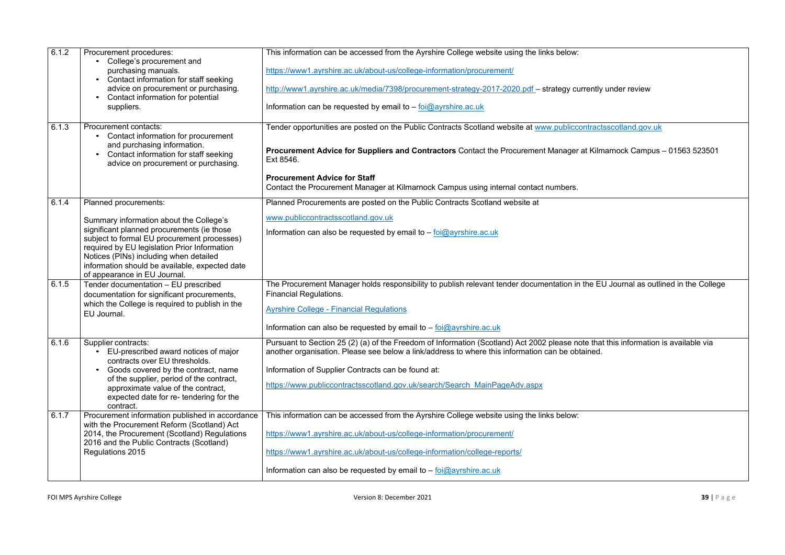| 6.1.2 | Procurement procedures:<br>College's procurement and                                                                                                                                                                                                                  | This information can be accessed from the Ayrshire College website using the links below:                                                                                                            |
|-------|-----------------------------------------------------------------------------------------------------------------------------------------------------------------------------------------------------------------------------------------------------------------------|------------------------------------------------------------------------------------------------------------------------------------------------------------------------------------------------------|
|       | purchasing manuals.<br>• Contact information for staff seeking                                                                                                                                                                                                        | https://www1.ayrshire.ac.uk/about-us/college-information/procurement/                                                                                                                                |
|       | advice on procurement or purchasing.<br>Contact information for potential                                                                                                                                                                                             | http://www1.ayrshire.ac.uk/media/7398/procurement-strategy-2017-2020.pdf - strategy currently                                                                                                        |
|       | suppliers.                                                                                                                                                                                                                                                            | Information can be requested by email to $-$ foi@ayrshire.ac.uk                                                                                                                                      |
| 6.1.3 | Procurement contacts:<br>Contact information for procurement                                                                                                                                                                                                          | Tender opportunities are posted on the Public Contracts Scotland website at www.publiccontract                                                                                                       |
|       | and purchasing information.<br>Contact information for staff seeking<br>advice on procurement or purchasing.                                                                                                                                                          | <b>Procurement Advice for Suppliers and Contractors Contact the Procurement Manager at Kiln</b><br>Ext 8546.                                                                                         |
|       |                                                                                                                                                                                                                                                                       | <b>Procurement Advice for Staff</b><br>Contact the Procurement Manager at Kilmarnock Campus using internal contact numbers.                                                                          |
| 6.1.4 | Planned procurements:                                                                                                                                                                                                                                                 | Planned Procurements are posted on the Public Contracts Scotland website at                                                                                                                          |
|       | Summary information about the College's                                                                                                                                                                                                                               | www.publiccontractsscotland.gov.uk                                                                                                                                                                   |
|       | significant planned procurements (ie those<br>subject to formal EU procurement processes)<br>required by EU legislation Prior Information<br>Notices (PINs) including when detailed<br>information should be available, expected date<br>of appearance in EU Journal. | Information can also be requested by email to $-\frac{foi(\partial y)}{g}$ ayrshire.ac.uk                                                                                                            |
| 6.1.5 | Tender documentation - EU prescribed<br>documentation for significant procurements,                                                                                                                                                                                   | The Procurement Manager holds responsibility to publish relevant tender documentation in the E<br><b>Financial Regulations.</b>                                                                      |
|       | which the College is required to publish in the<br>EU Journal.                                                                                                                                                                                                        | <b>Ayrshire College - Financial Regulations</b>                                                                                                                                                      |
|       |                                                                                                                                                                                                                                                                       | Information can also be requested by email to $-$ foi $@$ ayrshire.ac.uk                                                                                                                             |
| 6.1.6 | Supplier contracts:<br>EU-prescribed award notices of major<br>contracts over EU thresholds.                                                                                                                                                                          | Pursuant to Section 25 (2) (a) of the Freedom of Information (Scotland) Act 2002 please note tha<br>another organisation. Please see below a link/address to where this information can be obtained. |
|       | Goods covered by the contract, name                                                                                                                                                                                                                                   | Information of Supplier Contracts can be found at:                                                                                                                                                   |
|       | of the supplier, period of the contract,<br>approximate value of the contract,                                                                                                                                                                                        | https://www.publiccontractsscotland.gov.uk/search/Search MainPageAdv.aspx                                                                                                                            |
|       | expected date for re-tendering for the<br>contract.                                                                                                                                                                                                                   |                                                                                                                                                                                                      |
| 6.1.7 | Procurement information published in accordance<br>with the Procurement Reform (Scotland) Act                                                                                                                                                                         | This information can be accessed from the Ayrshire College website using the links below:                                                                                                            |
|       | 2014, the Procurement (Scotland) Regulations                                                                                                                                                                                                                          | https://www1.ayrshire.ac.uk/about-us/college-information/procurement/                                                                                                                                |
|       | 2016 and the Public Contracts (Scotland)<br>Regulations 2015                                                                                                                                                                                                          | https://www1.ayrshire.ac.uk/about-us/college-information/college-reports/                                                                                                                            |
|       |                                                                                                                                                                                                                                                                       | Information can also be requested by email to $-$ foi@ayrshire.ac.uk                                                                                                                                 |
|       |                                                                                                                                                                                                                                                                       |                                                                                                                                                                                                      |

ntly under review<sup>.</sup>

<u>ractsscotland gov.uk</u>

**Kilmarnock Campus – 01563 523501** 

e EU Journal as outlined in the College

that this information is available via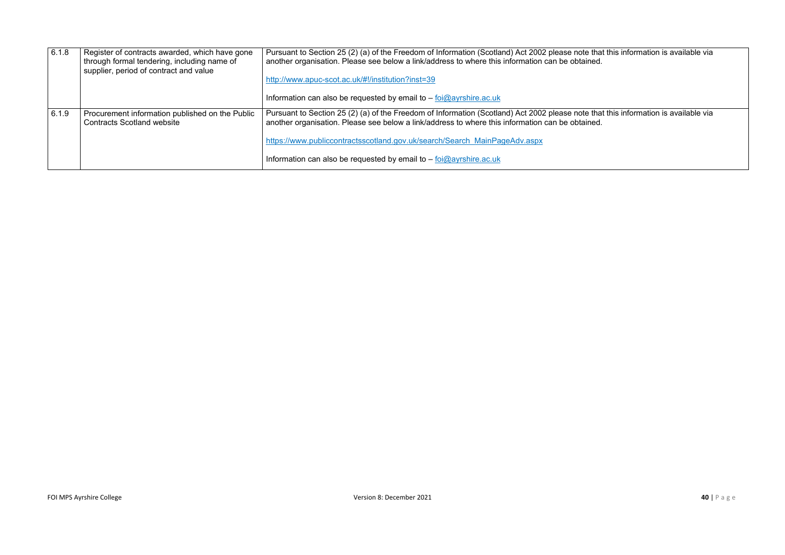| 6.1.8 | Register of contracts awarded, which have gone<br>through formal tendering, including name of<br>supplier, period of contract and value | Pursuant to Section 25 (2) (a) of the Freedom of Information (Scotland) Act 2002 please note tha<br>another organisation. Please see below a link/address to where this information can be obtained.<br>http://www.apuc-scot.ac.uk/#!/institution?inst=39<br>Information can also be requested by email to $-$ foi $@$ ayrshire.ac.uk                         |
|-------|-----------------------------------------------------------------------------------------------------------------------------------------|---------------------------------------------------------------------------------------------------------------------------------------------------------------------------------------------------------------------------------------------------------------------------------------------------------------------------------------------------------------|
| 6.1.9 | Procurement information published on the Public<br><b>Contracts Scotland website</b>                                                    | Pursuant to Section 25 (2) (a) of the Freedom of Information (Scotland) Act 2002 please note tha<br>another organisation. Please see below a link/address to where this information can be obtained.<br>https://www.publiccontractsscotland.gov.uk/search/Search MainPageAdv.aspx<br>Information can also be requested by email to $-$ foi $@$ ayrshire.ac.uk |

that this information is available via<br>ed.

that this information is available via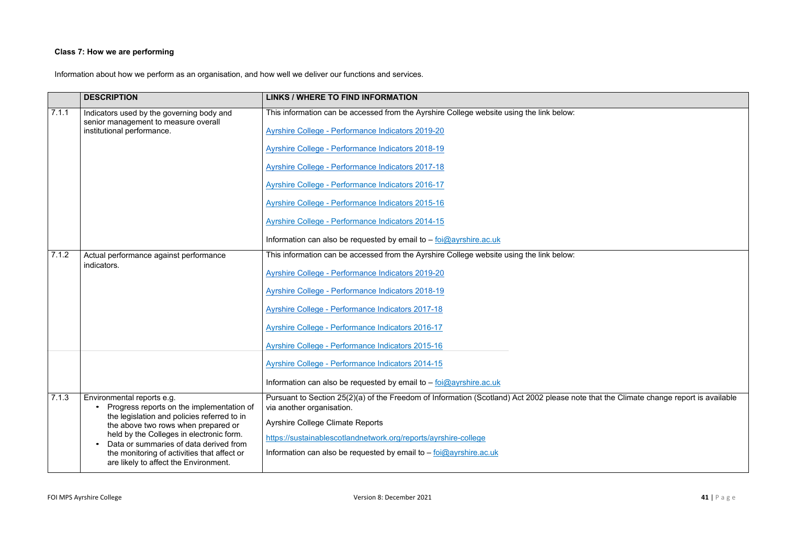# **Class 7: How we are performing**

Information about how we perform as an organisation, and how well we deliver our functions and services.

|       | <b>DESCRIPTION</b>                                                                                                                                                                                                                                                                                                                          | <b>LINKS / WHERE TO FIND INFORMATION</b>                                                                                                                                                                                                                                                                                                                                                                                                                                                                                   |
|-------|---------------------------------------------------------------------------------------------------------------------------------------------------------------------------------------------------------------------------------------------------------------------------------------------------------------------------------------------|----------------------------------------------------------------------------------------------------------------------------------------------------------------------------------------------------------------------------------------------------------------------------------------------------------------------------------------------------------------------------------------------------------------------------------------------------------------------------------------------------------------------------|
| 7.1.1 | Indicators used by the governing body and<br>senior management to measure overall<br>institutional performance.                                                                                                                                                                                                                             | This information can be accessed from the Ayrshire College website using the link below:<br>Ayrshire College - Performance Indicators 2019-20<br><b>Ayrshire College - Performance Indicators 2018-19</b><br><b>Ayrshire College - Performance Indicators 2017-18</b><br><b>Ayrshire College - Performance Indicators 2016-17</b><br>Ayrshire College - Performance Indicators 2015-16<br><b>Ayrshire College - Performance Indicators 2014-15</b><br>Information can also be requested by email to $-$ foi@ayrshire.ac.uk |
| 7.1.2 | Actual performance against performance<br>indicators.                                                                                                                                                                                                                                                                                       | This information can be accessed from the Ayrshire College website using the link below:<br><b>Ayrshire College - Performance Indicators 2019-20</b><br><b>Ayrshire College - Performance Indicators 2018-19</b><br>Ayrshire College - Performance Indicators 2017-18<br><b>Ayrshire College - Performance Indicators 2016-17</b><br>Ayrshire College - Performance Indicators 2015-16<br>Ayrshire College - Performance Indicators 2014-15<br>Information can also be requested by email to - foi@ayrshire.ac.uk          |
| 7.1.3 | Environmental reports e.g.<br>Progress reports on the implementation of<br>the legislation and policies referred to in<br>the above two rows when prepared or<br>held by the Colleges in electronic form.<br>Data or summaries of data derived from<br>the monitoring of activities that affect or<br>are likely to affect the Environment. | Pursuant to Section 25(2)(a) of the Freedom of Information (Scotland) Act 2002 please note to<br>via another organisation.<br><b>Ayrshire College Climate Reports</b><br>https://sustainablescotlandnetwork.org/reports/ayrshire-college<br>Information can also be requested by email to - foi@ayrshire.ac.uk                                                                                                                                                                                                             |

that the Climate change report is available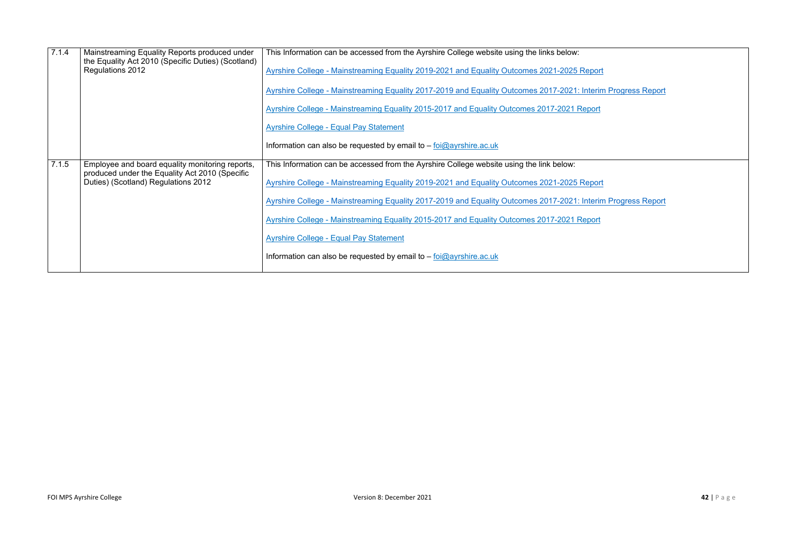| 7.1.4 | Mainstreaming Equality Reports produced under<br>the Equality Act 2010 (Specific Duties) (Scotland) | This Information can be accessed from the Ayrshire College website using the links below:    |
|-------|-----------------------------------------------------------------------------------------------------|----------------------------------------------------------------------------------------------|
|       | Regulations 2012                                                                                    | Ayrshire College - Mainstreaming Equality 2019-2021 and Equality Outcomes 2021-2025 Report   |
|       |                                                                                                     | Ayrshire College - Mainstreaming Equality 2017-2019 and Equality Outcomes 2017-2021: Interin |
|       |                                                                                                     | Ayrshire College - Mainstreaming Equality 2015-2017 and Equality Outcomes 2017-2021 Report   |
|       |                                                                                                     | <b>Ayrshire College - Equal Pay Statement</b>                                                |
|       |                                                                                                     | Information can also be requested by email to $-$ foi $@$ ayrshire.ac.uk                     |
| 7.1.5 | Employee and board equality monitoring reports,<br>produced under the Equality Act 2010 (Specific   | This Information can be accessed from the Ayrshire College website using the link below:     |
|       | Duties) (Scotland) Regulations 2012                                                                 | Ayrshire College - Mainstreaming Equality 2019-2021 and Equality Outcomes 2021-2025 Report   |
|       |                                                                                                     | Ayrshire College - Mainstreaming Equality 2017-2019 and Equality Outcomes 2017-2021: Interin |
|       |                                                                                                     | Ayrshire College - Mainstreaming Equality 2015-2017 and Equality Outcomes 2017-2021 Report   |
|       |                                                                                                     | <b>Ayrshire College - Equal Pay Statement</b>                                                |
|       |                                                                                                     | Information can also be requested by email to $-\frac{foi\omega}{2}$ ayrshire.ac.uk          |
|       |                                                                                                     |                                                                                              |

**Azim Progress Report** 

<u>erim Progress Report</u>